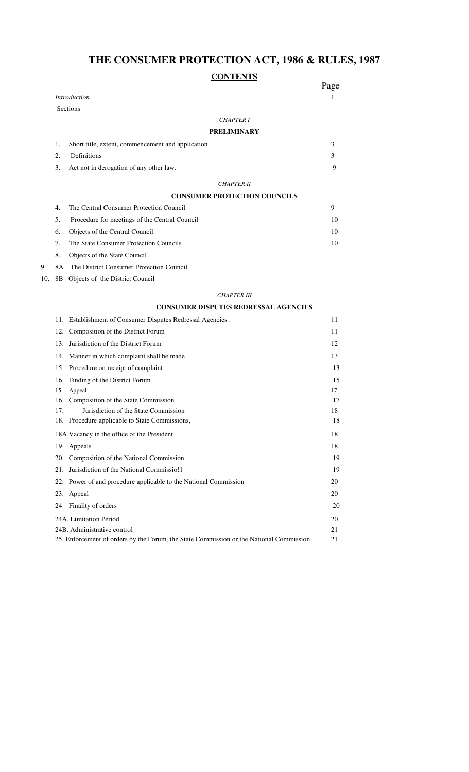# **THE CONSUMER PROTECTION ACT, 1986 & RULES, 1987**

## **CONTENTS**

|    |    | <b>CORTERIO</b>                                    | Page |
|----|----|----------------------------------------------------|------|
|    |    | <b>Introduction</b>                                |      |
|    |    | Sections                                           |      |
|    |    | <b>CHAPTER I</b>                                   |      |
|    |    | <b>PRELIMINARY</b>                                 |      |
| 1. |    | Short title, extent, commencement and application. | 3    |
| 2. |    | Definitions                                        | 3    |
| 3. |    | Act not in derogation of any other law.            | 9    |
|    |    | <b>CHAPTER II</b>                                  |      |
|    |    | <b>CONSUMER PROTECTION COUNCILS</b>                |      |
| 4. |    | The Central Consumer Protection Council            | 9    |
| 5. |    | Procedure for meetings of the Central Council      | 10   |
| 6. |    | Objects of the Central Council                     | 10   |
|    | 7. | The State Consumer Protection Councils             | 10   |
| 8. |    | Objects of the State Council                       |      |
|    | 8A | The District Consumer Protection Council           |      |
|    | 8B | Objects of the District Council                    |      |
|    |    |                                                    |      |

#### *CHAPTER III*

### **CONSUMER DISPUTES REDRESSAL AGENCIES**

|     | 11. Establishment of Consumer Disputes Redressal Agencies.                              | 11 |
|-----|-----------------------------------------------------------------------------------------|----|
| 12. | Composition of the District Forum                                                       | 11 |
| 13. | Jurisdiction of the District Forum                                                      | 12 |
|     | 14. Manner in which complaint shall be made                                             | 13 |
|     | 15. Procedure on receipt of complaint                                                   | 13 |
| 16. | Finding of the District Forum                                                           | 15 |
| 15. | Appeal                                                                                  | 17 |
| 16. | Composition of the State Commission                                                     | 17 |
| 17. | Jurisdiction of the State Commission                                                    | 18 |
|     | 18. Procedure applicable to State Commissions,                                          | 18 |
|     | 18A Vacancy in the office of the President                                              | 18 |
|     | 19. Appeals                                                                             | 18 |
| 20. | Composition of the National Commission                                                  | 19 |
| 21. | Jurisdiction of the National Commissio!1                                                | 19 |
| 22. | Power of and procedure applicable to the National Commission                            | 20 |
| 23. | Appeal                                                                                  | 20 |
| 24  | Finality of orders                                                                      | 20 |
|     | 24A. Limitation Period                                                                  | 20 |
|     | 24B. Administrative control                                                             | 21 |
|     | 25. Enforcement of orders by the Forum, the State Commission or the National Commission | 21 |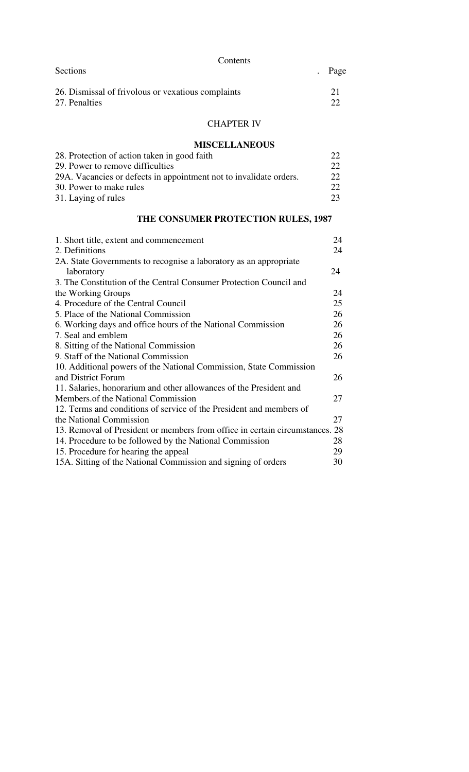|                                                    | Contents |      |
|----------------------------------------------------|----------|------|
| Sections                                           |          | Page |
| 26. Dismissal of frivolous or vexatious complaints |          | 21   |
| 27. Penalties                                      |          |      |
|                                                    |          |      |

## CHAPTER IV

## **MISCELLANEOUS**

| 28. Protection of action taken in good faith                       | $22^{\circ}$ |
|--------------------------------------------------------------------|--------------|
| 29. Power to remove difficulties                                   | $22^{\circ}$ |
| 29A. Vacancies or defects in appointment not to invalidate orders. | 22.          |
| 30. Power to make rules                                            | $22^{\circ}$ |
| 31. Laying of rules                                                | 23           |

## **THE CONSUMER PROTECTION RULES, 1987**

| 2. Definitions<br>24<br>2A. State Governments to recognise a laboratory as an appropriate<br>24<br>laboratory<br>3. The Constitution of the Central Consumer Protection Council and<br>the Working Groups<br>24<br>4. Procedure of the Central Council<br>25<br>26<br>5. Place of the National Commission<br>26<br>6. Working days and office hours of the National Commission<br>7. Seal and emblem<br>26<br>26<br>8. Sitting of the National Commission<br>9. Staff of the National Commission<br>26<br>10. Additional powers of the National Commission, State Commission<br>and District Forum<br>26<br>11. Salaries, honorarium and other allowances of the President and<br>Members of the National Commission<br>27<br>12. Terms and conditions of service of the President and members of<br>the National Commission<br>27<br>13. Removal of President or members from office in certain circumstances. 28<br>14. Procedure to be followed by the National Commission<br>28<br>15. Procedure for hearing the appeal<br>29 | 1. Short title, extent and commencement                       | 24 |
|-----------------------------------------------------------------------------------------------------------------------------------------------------------------------------------------------------------------------------------------------------------------------------------------------------------------------------------------------------------------------------------------------------------------------------------------------------------------------------------------------------------------------------------------------------------------------------------------------------------------------------------------------------------------------------------------------------------------------------------------------------------------------------------------------------------------------------------------------------------------------------------------------------------------------------------------------------------------------------------------------------------------------------------|---------------------------------------------------------------|----|
|                                                                                                                                                                                                                                                                                                                                                                                                                                                                                                                                                                                                                                                                                                                                                                                                                                                                                                                                                                                                                                   |                                                               |    |
|                                                                                                                                                                                                                                                                                                                                                                                                                                                                                                                                                                                                                                                                                                                                                                                                                                                                                                                                                                                                                                   |                                                               |    |
|                                                                                                                                                                                                                                                                                                                                                                                                                                                                                                                                                                                                                                                                                                                                                                                                                                                                                                                                                                                                                                   |                                                               |    |
|                                                                                                                                                                                                                                                                                                                                                                                                                                                                                                                                                                                                                                                                                                                                                                                                                                                                                                                                                                                                                                   |                                                               |    |
|                                                                                                                                                                                                                                                                                                                                                                                                                                                                                                                                                                                                                                                                                                                                                                                                                                                                                                                                                                                                                                   |                                                               |    |
|                                                                                                                                                                                                                                                                                                                                                                                                                                                                                                                                                                                                                                                                                                                                                                                                                                                                                                                                                                                                                                   |                                                               |    |
|                                                                                                                                                                                                                                                                                                                                                                                                                                                                                                                                                                                                                                                                                                                                                                                                                                                                                                                                                                                                                                   |                                                               |    |
|                                                                                                                                                                                                                                                                                                                                                                                                                                                                                                                                                                                                                                                                                                                                                                                                                                                                                                                                                                                                                                   |                                                               |    |
|                                                                                                                                                                                                                                                                                                                                                                                                                                                                                                                                                                                                                                                                                                                                                                                                                                                                                                                                                                                                                                   |                                                               |    |
|                                                                                                                                                                                                                                                                                                                                                                                                                                                                                                                                                                                                                                                                                                                                                                                                                                                                                                                                                                                                                                   |                                                               |    |
|                                                                                                                                                                                                                                                                                                                                                                                                                                                                                                                                                                                                                                                                                                                                                                                                                                                                                                                                                                                                                                   |                                                               |    |
|                                                                                                                                                                                                                                                                                                                                                                                                                                                                                                                                                                                                                                                                                                                                                                                                                                                                                                                                                                                                                                   |                                                               |    |
|                                                                                                                                                                                                                                                                                                                                                                                                                                                                                                                                                                                                                                                                                                                                                                                                                                                                                                                                                                                                                                   |                                                               |    |
|                                                                                                                                                                                                                                                                                                                                                                                                                                                                                                                                                                                                                                                                                                                                                                                                                                                                                                                                                                                                                                   |                                                               |    |
|                                                                                                                                                                                                                                                                                                                                                                                                                                                                                                                                                                                                                                                                                                                                                                                                                                                                                                                                                                                                                                   |                                                               |    |
|                                                                                                                                                                                                                                                                                                                                                                                                                                                                                                                                                                                                                                                                                                                                                                                                                                                                                                                                                                                                                                   |                                                               |    |
|                                                                                                                                                                                                                                                                                                                                                                                                                                                                                                                                                                                                                                                                                                                                                                                                                                                                                                                                                                                                                                   |                                                               |    |
|                                                                                                                                                                                                                                                                                                                                                                                                                                                                                                                                                                                                                                                                                                                                                                                                                                                                                                                                                                                                                                   |                                                               |    |
|                                                                                                                                                                                                                                                                                                                                                                                                                                                                                                                                                                                                                                                                                                                                                                                                                                                                                                                                                                                                                                   |                                                               |    |
|                                                                                                                                                                                                                                                                                                                                                                                                                                                                                                                                                                                                                                                                                                                                                                                                                                                                                                                                                                                                                                   |                                                               |    |
|                                                                                                                                                                                                                                                                                                                                                                                                                                                                                                                                                                                                                                                                                                                                                                                                                                                                                                                                                                                                                                   | 15A. Sitting of the National Commission and signing of orders | 30 |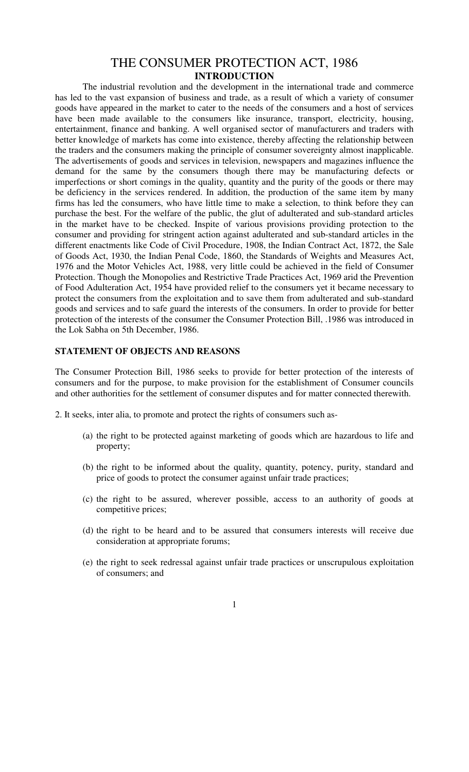## THE CONSUMER PROTECTION ACT, 1986 **INTRODUCTION**

The industrial revolution and the development in the international trade and commerce has led to the vast expansion of business and trade, as a result of which a variety of consumer goods have appeared in the market to cater to the needs of the consumers and a host of services have been made available to the consumers like insurance, transport, electricity, housing, entertainment, finance and banking. A well organised sector of manufacturers and traders with better knowledge of markets has come into existence, thereby affecting the relationship between the traders and the consumers making the principle of consumer sovereignty almost inapplicable. The advertisements of goods and services in television, newspapers and magazines influence the demand for the same by the consumers though there may be manufacturing defects or imperfections or short comings in the quality, quantity and the purity of the goods or there may be deficiency in the services rendered. In addition, the production of the same item by many firms has led the consumers, who have little time to make a selection, to think before they can purchase the best. For the welfare of the public, the glut of adulterated and sub-standard articles in the market have to be checked. Inspite of various provisions providing protection to the consumer and providing for stringent action against adulterated and sub-standard articles in the different enactments like Code of Civil Procedure, 1908, the Indian Contract Act, 1872, the Sale of Goods Act, 1930, the Indian Penal Code, 1860, the Standards of Weights and Measures Act, 1976 and the Motor Vehicles Act, 1988, very little could be achieved in the field of Consumer Protection. Though the Monopolies and Restrictive Trade Practices Act, 1969 arid the Prevention of Food Adulteration Act, 1954 have provided relief to the consumers yet it became necessary to protect the consumers from the exploitation and to save them from adulterated and sub-standard goods and services and to safe guard the interests of the consumers. In order to provide for better protection of the interests of the consumer the Consumer Protection Bill, .1986 was introduced in the Lok Sabha on 5th December, 1986.

## **STATEMENT OF OBJECTS AND REASONS**

The Consumer Protection Bill, 1986 seeks to provide for better protection of the interests of consumers and for the purpose, to make provision for the establishment of Consumer councils and other authorities for the settlement of consumer disputes and for matter connected therewith.

2. It seeks, inter alia, to promote and protect the rights of consumers such as-

- (a) the right to be protected against marketing of goods which are hazardous to life and property;
- (b) the right to be informed about the quality, quantity, potency, purity, standard and price of goods to protect the consumer against unfair trade practices;
- (c) the right to be assured, wherever possible, access to an authority of goods at competitive prices;
- (d) the right to be heard and to be assured that consumers interests will receive due consideration at appropriate forums;
- (e) the right to seek redressal against unfair trade practices or unscrupulous exploitation of consumers; and

1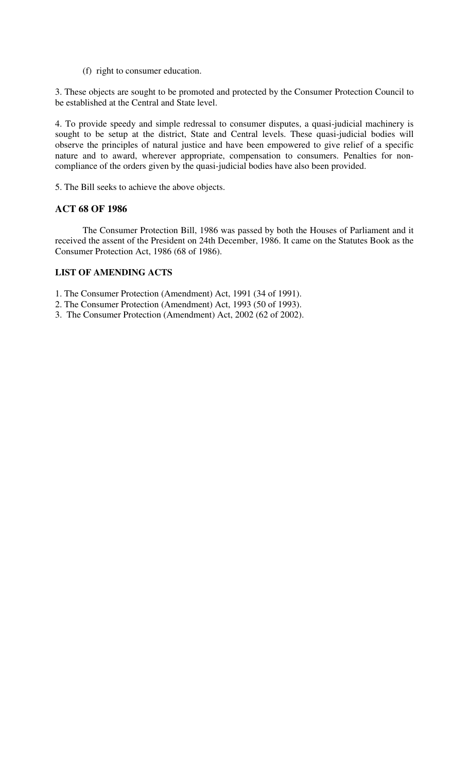(f) right to consumer education.

3. These objects are sought to be promoted and protected by the Consumer Protection Council to be established at the Central and State level.

4. To provide speedy and simple redressal to consumer disputes, a quasi-judicial machinery is sought to be setup at the district, State and Central levels. These quasi-judicial bodies will observe the principles of natural justice and have been empowered to give relief of a specific nature and to award, wherever appropriate, compensation to consumers. Penalties for noncompliance of the orders given by the quasi-judicial bodies have also been provided.

5. The Bill seeks to achieve the above objects.

### **ACT 68 OF 1986**

The Consumer Protection Bill, 1986 was passed by both the Houses of Parliament and it received the assent of the President on 24th December, 1986. It came on the Statutes Book as the Consumer Protection Act, 1986 (68 of 1986).

### **LIST OF AMENDING ACTS**

1. The Consumer Protection (Amendment) Act, 1991 (34 of 1991).

- 2. The Consumer Protection (Amendment) Act, 1993 (50 of 1993).
- 3. The Consumer Protection (Amendment) Act, 2002 (62 of 2002).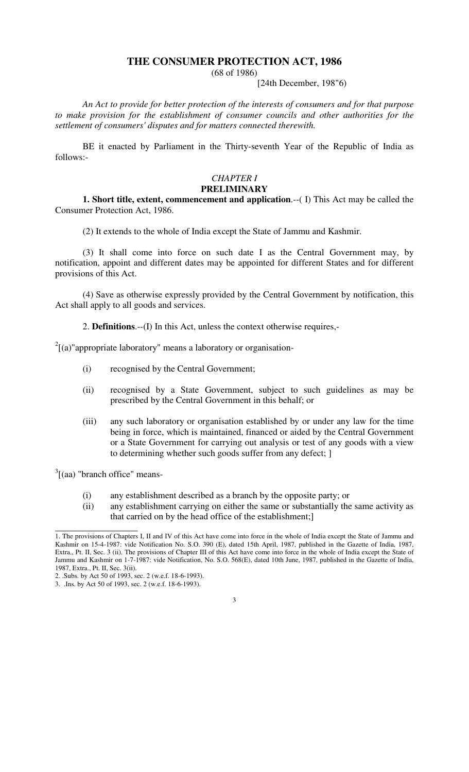### **THE CONSUMER PROTECTION ACT, 1986**

(68 of 1986)

[24th December, 198"6)

*An Act to provide for better protection of the interests of consumers and for that purpose to make provision for the establishment of consumer councils and other authorities for the settlement of consumers' disputes and for matters connected therewith.* 

BE it enacted by Parliament in the Thirty-seventh Year of the Republic of India as follows:-

## *CHAPTER I*

## **PRELIMINARY**

**1. Short title, extent, commencement and application**.--( I) This Act may be called the Consumer Protection Act, 1986.

(2) It extends to the whole of India except the State of Jammu and Kashmir.

(3) It shall come into force on such date I as the Central Government may, by notification, appoint and different dates may be appointed for different States and for different provisions of this Act.

(4) Save as otherwise expressly provided by the Central Government by notification, this Act shall apply to all goods and services.

2. **Definitions**.--(I) In this Act, unless the context otherwise requires,-

 $2[(a)$ "appropriate laboratory" means a laboratory or organisation-

- (i) recognised by the Central Government;
- (ii) recognised by a State Government, subject to such guidelines as may be prescribed by the Central Government in this behalf; or
- (iii) any such laboratory or organisation established by or under any law for the time being in force, which is maintained, financed or aided by the Central Government or a State Government for carrying out analysis or test of any goods with a view to determining whether such goods suffer from any defect; ]

 $3$ [(aa) "branch office" means-

\_\_\_\_\_\_\_\_\_\_\_\_\_\_\_\_\_\_

- (i) any establishment described as a branch by the opposite party; or
- (ii) any establishment carrying on either the same or substantially the same activity as that carried on by the head office of the establishment;]

<sup>3. .</sup>Ins. by Act 50 of 1993, sec. 2 (w.e.f. 18-6-1993).



<sup>1.</sup> The provisions of Chapters I, II and IV of this Act have come into force in the whole of India except the State of Jammu and Kashmir on 15-4-1987: vide Notification No. S.O. 390 (E), dated 15th April, 1987, published in the Gazette of India, 1987, Extra., Pt. II, Sec. 3 (ii). The provisions of Chapter III of this Act have come into force in the whole of India except the State of Jammu and Kashmir on 1-7-1987: vide Notification, No. S.O. 568(E), dated 10th June, 1987, published in the Gazette of India, 1987, Extra., Pt. II, Sec. 3(ii).

<sup>2. .</sup>Subs. by Act 50 of 1993, sec. 2 (w.e.f. 18-6-1993).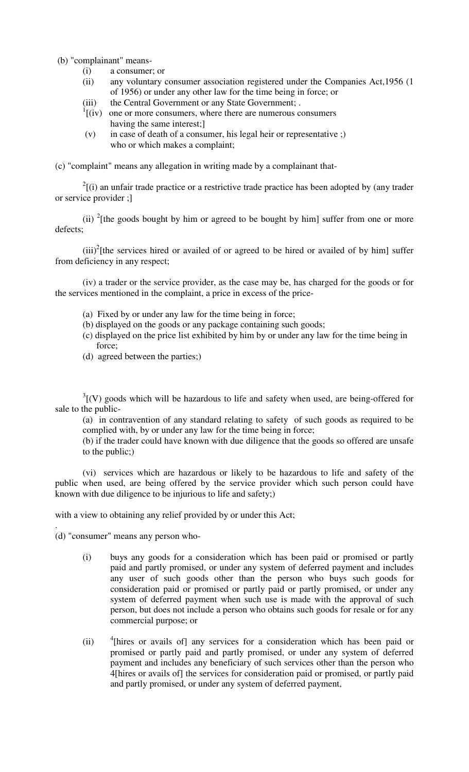(b) "complainant" means-

- (i) a consumer; or
- (ii) any voluntary consumer association registered under the Companies Act,1956 (1 of 1956) or under any other law for the time being in force; or
- (iii) the Central Government or any State Government; .
- $\frac{1}{1}$ [(iv) one or more consumers, where there are numerous consumers having the same interest;]
- (v) in case of death of a consumer, his legal heir or representative ;) who or which makes a complaint;

(c) "complaint" means any allegation in writing made by a complainant that-

 $2(1)$  an unfair trade practice or a restrictive trade practice has been adopted by (any trader or service provider ;]

(ii)  $2$ [the goods bought by him or agreed to be bought by him] suffer from one or more defects;

 $(iii)^{2}$ [the services hired or availed of or agreed to be hired or availed of by him] suffer from deficiency in any respect;

(iv) a trader or the service provider, as the case may be, has charged for the goods or for the services mentioned in the complaint, a price in excess of the price-

- (a) Fixed by or under any law for the time being in force;
- (b) displayed on the goods or any package containing such goods;
- (c) displayed on the price list exhibited by him by or under any law for the time being in force;
- (d) agreed between the parties;)

 $3$ [(V) goods which will be hazardous to life and safety when used, are being-offered for sale to the public-

(a) in contravention of any standard relating to safety of such goods as required to be complied with, by or under any law for the time being in force;

(b) if the trader could have known with due diligence that the goods so offered are unsafe to the public;)

(vi) services which are hazardous or likely to be hazardous to life and safety of the public when used, are being offered by the service provider which such person could have known with due diligence to be injurious to life and safety;)

with a view to obtaining any relief provided by or under this Act;

(d) "consumer" means any person who-

.

- (i) buys any goods for a consideration which has been paid or promised or partly paid and partly promised, or under any system of deferred payment and includes any user of such goods other than the person who buys such goods for consideration paid or promised or partly paid or partly promised, or under any system of deferred payment when such use is made with the approval of such person, but does not include a person who obtains such goods for resale or for any commercial purpose; or
- $(ii)$ <sup>4</sup>[hires or avails of] any services for a consideration which has been paid or promised or partly paid and partly promised, or under any system of deferred payment and includes any beneficiary of such services other than the person who 4[hires or avails of] the services for consideration paid or promised, or partly paid and partly promised, or under any system of deferred payment,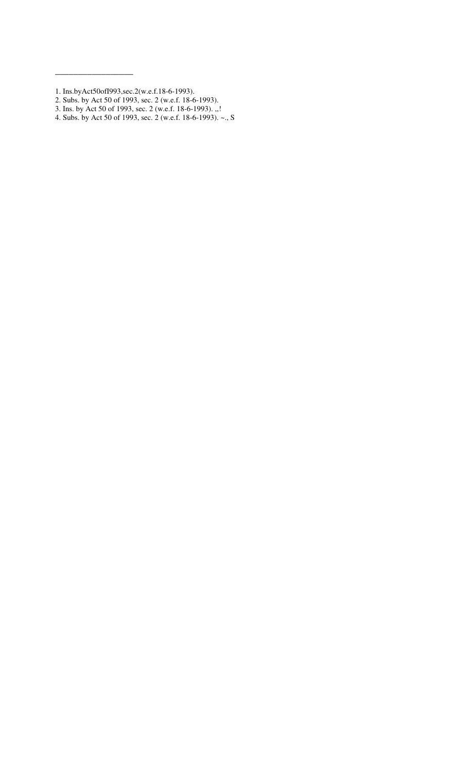\_\_\_\_\_\_\_\_\_\_\_\_\_\_\_\_\_

<sup>1.</sup> Ins.byAct50ofI993,sec.2(w.e.f.18-6-1993).

<sup>2.</sup> Subs. by Act 50 of 1993, sec. 2 (w.e.f. 18-6-1993).

<sup>3.</sup> Ins. by Act 50 of 1993, sec. 2 (w.e.f. 18-6-1993). ,,!

<sup>4.</sup> Subs. by Act 50 of 1993, sec. 2 (w.e.f. 18-6-1993). ~., S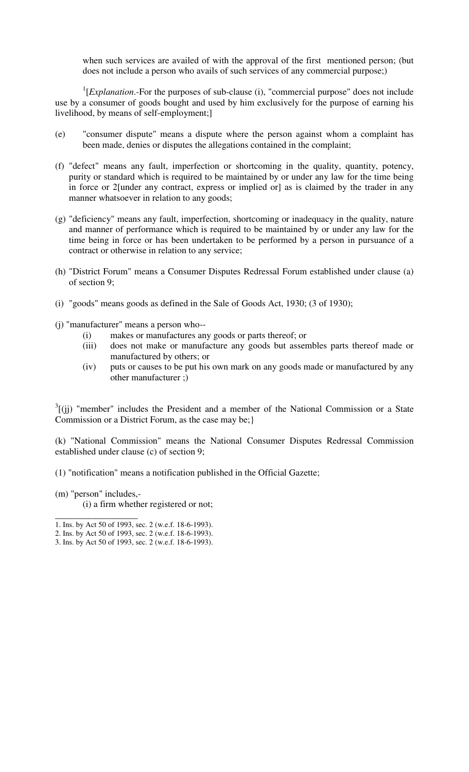when such services are availed of with the approval of the first mentioned person; (but does not include a person who avails of such services of any commercial purpose;)

<sup>1</sup>[*Explanation*.-For the purposes of sub-clause (i), "commercial purpose" does not include use by a consumer of goods bought and used by him exclusively for the purpose of earning his livelihood, by means of self-employment;]

- (e) "consumer dispute" means a dispute where the person against whom a complaint has been made, denies or disputes the allegations contained in the complaint;
- (f) "defect" means any fault, imperfection or shortcoming in the quality, quantity, potency, purity or standard which is required to be maintained by or under any law for the time being in force or 2[under any contract, express or implied or] as is claimed by the trader in any manner whatsoever in relation to any goods;
- (g) "deficiency" means any fault, imperfection, shortcoming or inadequacy in the quality, nature and manner of performance which is required to be maintained by or under any law for the time being in force or has been undertaken to be performed by a person in pursuance of a contract or otherwise in relation to any service;
- (h) "District Forum" means a Consumer Disputes Redressal Forum established under clause (a) of section 9;
- (i) "goods" means goods as defined in the Sale of Goods Act, 1930; (3 of 1930);
- (j) "manufacturer" means a person who--
	- (i) makes or manufactures any goods or parts thereof; or
	- (iii) does not make or manufacture any goods but assembles parts thereof made or manufactured by others; or
	- (iv) puts or causes to be put his own mark on any goods made or manufactured by any other manufacturer ;)

 $3$ [(jj) "member" includes the President and a member of the National Commission or a State Commission or a District Forum, as the case may be;}

(k) "National Commission" means the National Consumer Disputes Redressal Commission established under clause (c) of section 9;

(1) "notification" means a notification published in the Official Gazette;

(m) "person" includes,-

\_\_\_\_\_\_\_\_\_\_\_\_\_\_\_\_\_\_

(i) a firm whether registered or not;

<sup>1.</sup> Ins. by Act 50 of 1993, sec. 2 (w.e.f. 18-6-1993).

<sup>2.</sup> Ins. by Act 50 of 1993, sec. 2 (w.e.f. 18-6-1993).

<sup>3.</sup> Ins. by Act 50 of 1993, sec. 2 (w.e.f. 18-6-1993).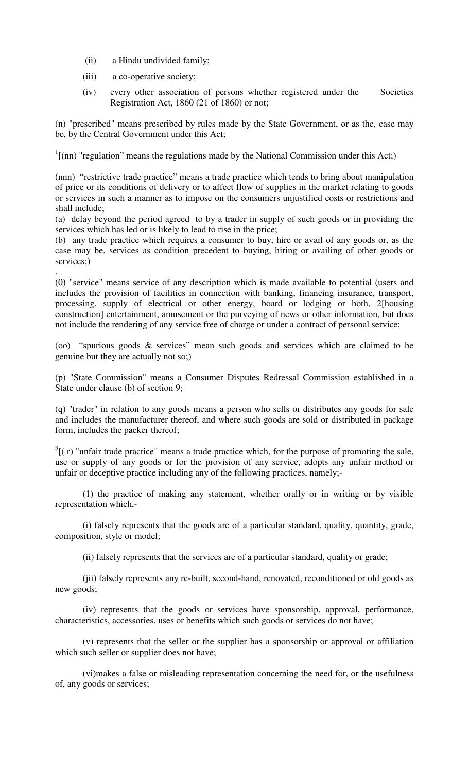- (ii) a Hindu undivided family;
- (iii) a co-operative society;

.

(iv) every other association of persons whether registered under the Societies Registration Act, 1860 (21 of 1860) or not;

(n) "prescribed" means prescribed by rules made by the State Government, or as the, case may be, by the Central Government under this Act;

 $\frac{1}{1}$ (nn) "regulation" means the regulations made by the National Commission under this Act;)

(nnn) "restrictive trade practice" means a trade practice which tends to bring about manipulation of price or its conditions of delivery or to affect flow of supplies in the market relating to goods or services in such a manner as to impose on the consumers unjustified costs or restrictions and shall include;

(a) delay beyond the period agreed to by a trader in supply of such goods or in providing the services which has led or is likely to lead to rise in the price;

(b) any trade practice which requires a consumer to buy, hire or avail of any goods or, as the case may be, services as condition precedent to buying, hiring or availing of other goods or services;)

(0) "service" means service of any description which is made available to potential (users and includes the provision of facilities in connection with banking, financing insurance, transport, processing, supply of electrical or other energy, board or lodging or both, 2[housing construction] entertainment, amusement or the purveying of news or other information, but does not include the rendering of any service free of charge or under a contract of personal service;

(oo) "spurious goods & services" mean such goods and services which are claimed to be genuine but they are actually not so;)

(p) "State Commission" means a Consumer Disputes Redressal Commission established in a State under clause (b) of section 9;

(q) "trader" in relation to any goods means a person who sells or distributes any goods for sale and includes the manufacturer thereof, and where such goods are sold or distributed in package form, includes the packer thereof;

 $3$ [(r) "unfair trade practice" means a trade practice which, for the purpose of promoting the sale, use or supply of any goods or for the provision of any service, adopts any unfair method or unfair or deceptive practice including any of the following practices, namely;-

(1) the practice of making any statement, whether orally or in writing or by visible representation which,-

(i) falsely represents that the goods are of a particular standard, quality, quantity, grade, composition, style or model;

(ii) falsely represents that the services are of a particular standard, quality or grade;

(jii) falsely represents any re-built, second-hand, renovated, reconditioned or old goods as new goods;

(iv) represents that the goods or services have sponsorship, approval, performance, characteristics, accessories, uses or benefits which such goods or services do not have;

(v) represents that the seller or the supplier has a sponsorship or approval or affiliation which such seller or supplier does not have;

(vi)makes a false or misleading representation concerning the need for, or the usefulness of, any goods or services;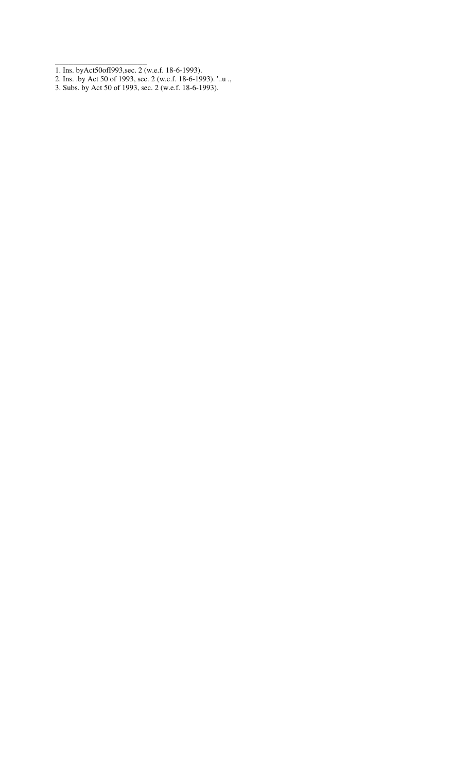1. Ins. byAct50ofI993,sec. 2 (w.e.f. 18-6-1993).

\_\_\_\_\_\_\_\_\_\_\_\_\_\_\_\_\_\_\_\_

- 2. Ins. .by Act 50 of 1993, sec. 2 (w.e.f. 18-6-1993). '..u .,
- 3. Subs. by Act 50 of 1993, sec. 2 (w.e.f. 18-6-1993).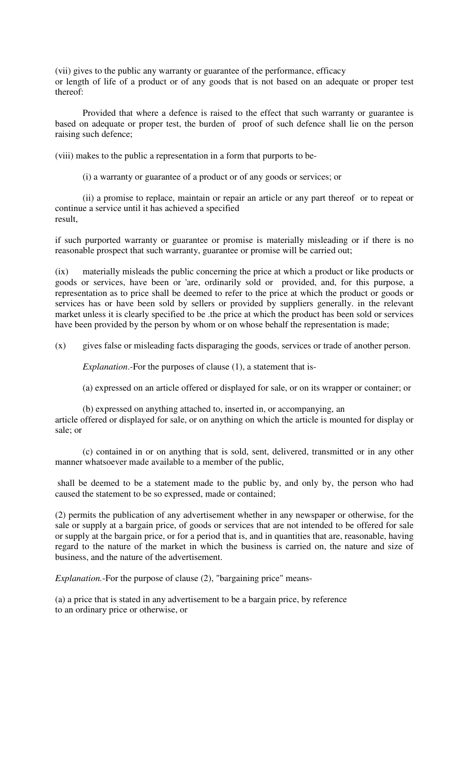(vii) gives to the public any warranty or guarantee of the performance, efficacy or length of life of a product or of any goods that is not based on an adequate or proper test thereof:

Provided that where a defence is raised to the effect that such warranty or guarantee is based on adequate or proper test, the burden of proof of such defence shall lie on the person raising such defence;

(viii) makes to the public a representation in a form that purports to be-

(i) a warranty or guarantee of a product or of any goods or services; or

(ii) a promise to replace, maintain or repair an article or any part thereof or to repeat or continue a service until it has achieved a specified result,

if such purported warranty or guarantee or promise is materially misleading or if there is no reasonable prospect that such warranty, guarantee or promise will be carried out;

(ix) materially misleads the public concerning the price at which a product or like products or goods or services, have been or 'are, ordinarily sold or provided, and, for this purpose, a representation as to price shall be deemed to refer to the price at which the product or goods or services has or have been sold by sellers or provided by suppliers generally. in the relevant market unless it is clearly specified to be .the price at which the product has been sold or services have been provided by the person by whom or on whose behalf the representation is made;

(x) gives false or misleading facts disparaging the goods, services or trade of another person.

*Explanation*.-For the purposes of clause (1), a statement that is-

(a) expressed on an article offered or displayed for sale, or on its wrapper or container; or

(b) expressed on anything attached to, inserted in, or accompanying, an

article offered or displayed for sale, or on anything on which the article is mounted for display or sale; or

(c) contained in or on anything that is sold, sent, delivered, transmitted or in any other manner whatsoever made available to a member of the public,

 shall be deemed to be a statement made to the public by, and only by, the person who had caused the statement to be so expressed, made or contained;

(2) permits the publication of any advertisement whether in any newspaper or otherwise, for the sale or supply at a bargain price, of goods or services that are not intended to be offered for sale or supply at the bargain price, or for a period that is, and in quantities that are, reasonable, having regard to the nature of the market in which the business is carried on, the nature and size of business, and the nature of the advertisement.

*Explanation.*-For the purpose of clause (2), "bargaining price" means-

(a) a price that is stated in any advertisement to be a bargain price, by reference to an ordinary price or otherwise, or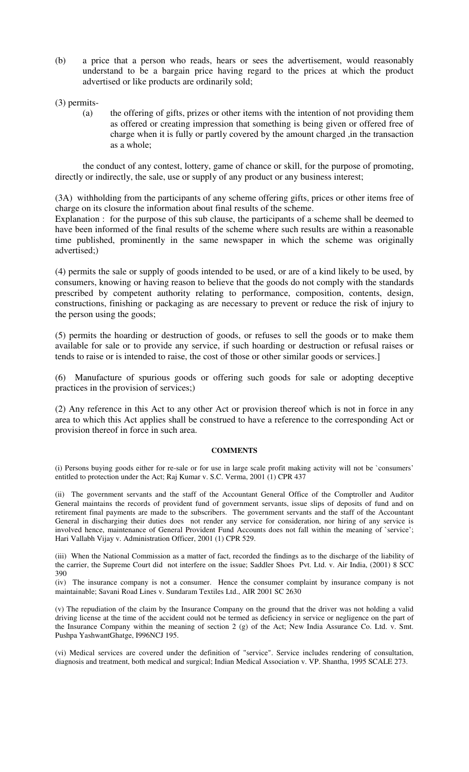- (b) a price that a person who reads, hears or sees the advertisement, would reasonably understand to be a bargain price having regard to the prices at which the product advertised or like products are ordinarily sold;
- (3) permits-
	- (a) the offering of gifts, prizes or other items with the intention of not providing them as offered or creating impression that something is being given or offered free of charge when it is fully or partly covered by the amount charged ,in the transaction as a whole;

the conduct of any contest, lottery, game of chance or skill, for the purpose of promoting, directly or indirectly, the sale, use or supply of any product or any business interest;

(3A) withholding from the participants of any scheme offering gifts, prices or other items free of charge on its closure the information about final results of the scheme.

Explanation : for the purpose of this sub clause, the participants of a scheme shall be deemed to have been informed of the final results of the scheme where such results are within a reasonable time published, prominently in the same newspaper in which the scheme was originally advertised;)

(4) permits the sale or supply of goods intended to be used, or are of a kind likely to be used, by consumers, knowing or having reason to believe that the goods do not comply with the standards prescribed by competent authority relating to performance, composition, contents, design, constructions, finishing or packaging as are necessary to prevent or reduce the risk of injury to the person using the goods;

(5) permits the hoarding or destruction of goods, or refuses to sell the goods or to make them available for sale or to provide any service, if such hoarding or destruction or refusal raises or tends to raise or is intended to raise, the cost of those or other similar goods or services.]

(6) Manufacture of spurious goods or offering such goods for sale or adopting deceptive practices in the provision of services;)

(2) Any reference in this Act to any other Act or provision thereof which is not in force in any area to which this Act applies shall be construed to have a reference to the corresponding Act or provision thereof in force in such area.

### **COMMENTS**

(i) Persons buying goods either for re-sale or for use in large scale profit making activity will not be `consumers' entitled to protection under the Act; Raj Kumar v. S.C. Verma, 2001 (1) CPR 437

(ii) The government servants and the staff of the Accountant General Office of the Comptroller and Auditor General maintains the records of provident fund of government servants, issue slips of deposits of fund and on retirement final payments are made to the subscribers. The government servants and the staff of the Accountant General in discharging their duties does not render any service for consideration, nor hiring of any service is involved hence, maintenance of General Provident Fund Accounts does not fall within the meaning of `service'; Hari Vallabh Vijay v. Administration Officer, 2001 (1) CPR 529.

(iii) When the National Commission as a matter of fact, recorded the findings as to the discharge of the liability of the carrier, the Supreme Court did not interfere on the issue; Saddler Shoes Pvt. Ltd. v. Air India, (2001) 8 SCC 390

(iv) The insurance company is not a consumer. Hence the consumer complaint by insurance company is not maintainable; Savani Road Lines v. Sundaram Textiles Ltd., AIR 2001 SC 2630

(v) The repudiation of the claim by the Insurance Company on the ground that the driver was not holding a valid driving license at the time of the accident could not be termed as deficiency in service or negligence on the part of the Insurance Company within the meaning of section 2 (g) of the Act; New India Assurance Co. Ltd. v. Smt. Pushpa YashwantGhatge, I996NCJ 195.

(vi) Medical services are covered under the definition of "service". Service includes rendering of consultation, diagnosis and treatment, both medical and surgical; Indian Medical Association v. VP. Shantha, 1995 SCALE 273.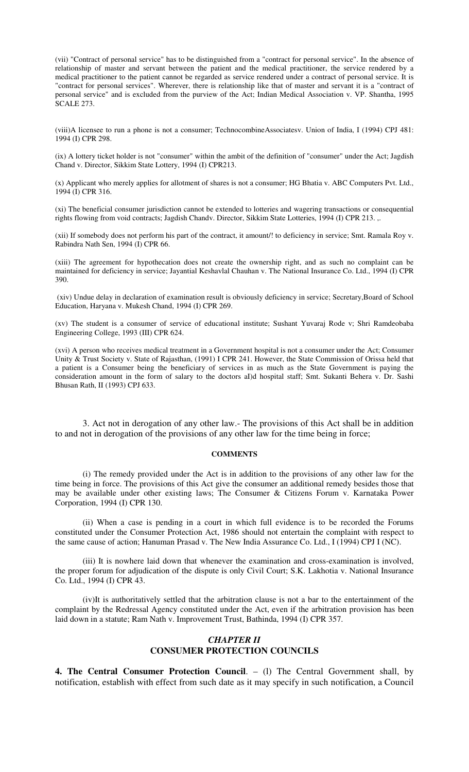(vii) "Contract of personal service" has to be distinguished from a "contract for personal service". In the absence of relationship of master and servant between the patient and the medical practitioner, the service rendered by a medical practitioner to the patient cannot be regarded as service rendered under a contract of personal service. It is "contract for personal services". Wherever, there is relationship like that of master and servant it is a "contract of personal service" and is excluded from the purview of the Act; Indian Medical Association v. VP. Shantha, 1995 SCALE 273.

(viii)A licensee to run a phone is not a consumer; TechnocombineAssociatesv. Union of India, I (1994) CPJ 481: 1994 (I) CPR 298.

(ix) A lottery ticket holder is not "consumer" within the ambit of the definition of "consumer" under the Act; Jagdish Chand v. Director, Sikkim State Lottery, 1994 (I) CPR213.

(x) Applicant who merely applies for allotment of shares is not a consumer; HG Bhatia v. ABC Computers Pvt. Ltd., 1994 (I) CPR 316.

(xi) The beneficial consumer jurisdiction cannot be extended to lotteries and wagering transactions or consequential rights flowing from void contracts; Jagdish Chandv. Director, Sikkim State Lotteries, 1994 (I) CPR 213. ,.

(xii) If somebody does not perform his part of the contract, it amount/! to deficiency in service; Smt. Ramala Roy v. Rabindra Nath Sen, 1994 (I) CPR 66.

(xiii) The agreement for hypothecation does not create the ownership right, and as such no complaint can be maintained for deficiency in service; Jayantial Keshavlal Chauhan v. The National Insurance Co. Ltd., 1994 (I) CPR 390.

 (xiv) Undue delay in declaration of examination result is obviously deficiency in service; Secretary,Board of School Education, Haryana v. Mukesh Chand, 1994 (I) CPR 269.

(xv) The student is a consumer of service of educational institute; Sushant Yuvaraj Rode v; Shri Ramdeobaba Engineering College, 1993 (III) CPR 624.

(xvi) A person who receives medical treatment in a Government hospital is not a consumer under the Act; Consumer Unity & Trust Society v. State of Rajasthan, (1991) I CPR 241. However, the State Commission of Orissa held that a patient is a Consumer being the beneficiary of services in as much as the State Government is paying the consideration amount in the form of salary to the doctors aI)d hospital staff; Smt. Sukanti Behera v. Dr. Sashi Bhusan Rath, II (1993) CPJ 633.

3. Act not in derogation of any other law.- The provisions of this Act shall be in addition to and not in derogation of the provisions of any other law for the time being in force;

#### **COMMENTS**

(i) The remedy provided under the Act is in addition to the provisions of any other law for the time being in force. The provisions of this Act give the consumer an additional remedy besides those that may be available under other existing laws; The Consumer & Citizens Forum v. Karnataka Power Corporation, 1994 (I) CPR 130.

(ii) When a case is pending in a court in which full evidence is to be recorded the Forums constituted under the Consumer Protection Act, 1986 should not entertain the complaint with respect to the same cause of action; Hanuman Prasad v. The New India Assurance Co. Ltd., I (1994) CPJ I (NC).

(iii) It is nowhere laid down that whenever the examination and cross-examination is involved, the proper forum for adjudication of the dispute is only Civil Court; S.K. Lakhotia v. National Insurance Co. Ltd., 1994 (I) CPR 43.

(iv)It is authoritatively settled that the arbitration clause is not a bar to the entertainment of the complaint by the Redressal Agency constituted under the Act, even if the arbitration provision has been laid down in a statute; Ram Nath v. Improvement Trust, Bathinda, 1994 (I) CPR 357.

### *CHAPTER II*  **CONSUMER PROTECTION COUNCILS**

**4. The Central Consumer Protection Council**. – (l) The Central Government shall, by notification, establish with effect from such date as it may specify in such notification, a Council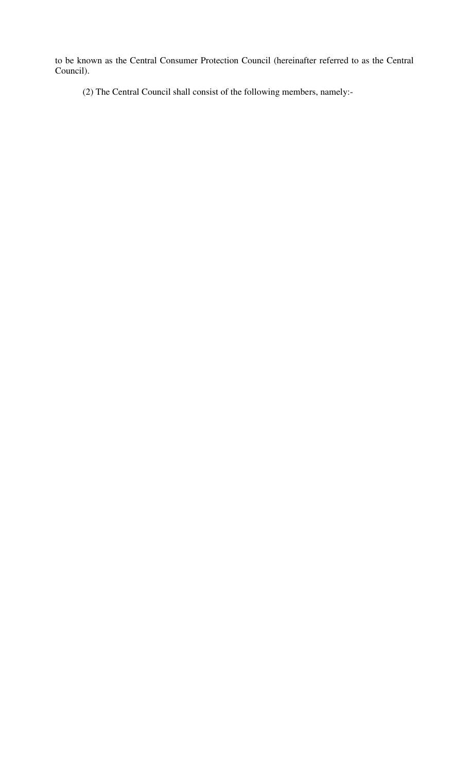to be known as the Central Consumer Protection Council (hereinafter referred to as the Central Council).

(2) The Central Council shall consist of the following members, namely:-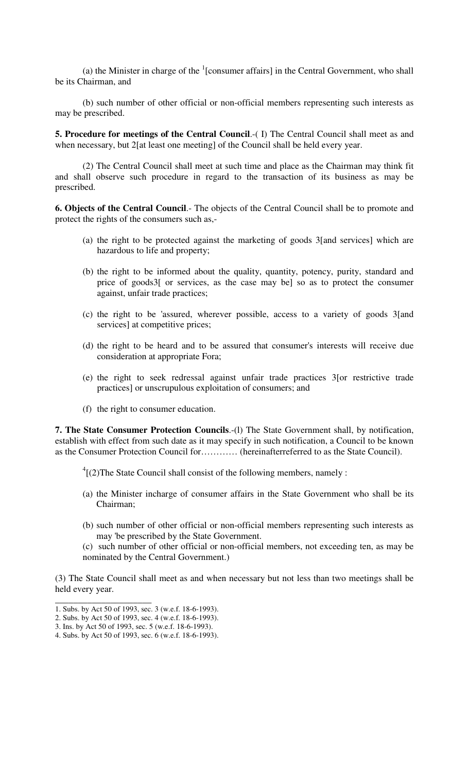(a) the Minister in charge of the  $\frac{1}{2}$  [consumer affairs] in the Central Government, who shall be its Chairman, and

(b) such number of other official or non-official members representing such interests as may be prescribed.

**5. Procedure for meetings of the Central Council.-(I)** The Central Council shall meet as and when necessary, but 2[at least one meeting] of the Council shall be held every year.

(2) The Central Council shall meet at such time and place as the Chairman may think fit and shall observe such procedure in regard to the transaction of its business as may be prescribed.

**6. Objects of the Central Council**.- The objects of the Central Council shall be to promote and protect the rights of the consumers such as,-

- (a) the right to be protected against the marketing of goods 3[and services] which are hazardous to life and property;
- (b) the right to be informed about the quality, quantity, potency, purity, standard and price of goods3[ or services, as the case may be] so as to protect the consumer against, unfair trade practices;
- (c) the right to be 'assured, wherever possible, access to a variety of goods 3[and services] at competitive prices;
- (d) the right to be heard and to be assured that consumer's interests will receive due consideration at appropriate Fora;
- (e) the right to seek redressal against unfair trade practices 3[or restrictive trade practices] or unscrupulous exploitation of consumers; and
- (f) the right to consumer education.

**7. The State Consumer Protection Councils**.-(l) The State Government shall, by notification, establish with effect from such date as it may specify in such notification, a Council to be known as the Consumer Protection Council for………… (hereinafterreferred to as the State Council).

 ${}^{4}$ [(2)The State Council shall consist of the following members, namely :

- (a) the Minister incharge of consumer affairs in the State Government who shall be its Chairman;
- (b) such number of other official or non-official members representing such interests as may 'be prescribed by the State Government.
- (c) such number of other official or non-official members, not exceeding ten, as may be nominated by the Central Government.)

(3) The State Council shall meet as and when necessary but not less than two meetings shall be held every year.

\_\_\_\_\_\_\_\_\_\_\_\_\_\_\_\_\_\_\_\_\_

<sup>1.</sup> Subs. by Act 50 of 1993, sec. 3 (w.e.f. 18-6-1993).

<sup>2.</sup> Subs. by Act 50 of 1993, sec. 4 (w.e.f. 18-6-1993).

<sup>3.</sup> Ins. by Act 50 of 1993, sec. 5 (w.e.f. 18-6-1993).

<sup>4.</sup> Subs. by Act 50 of 1993, sec. 6 (w.e.f. 18-6-1993).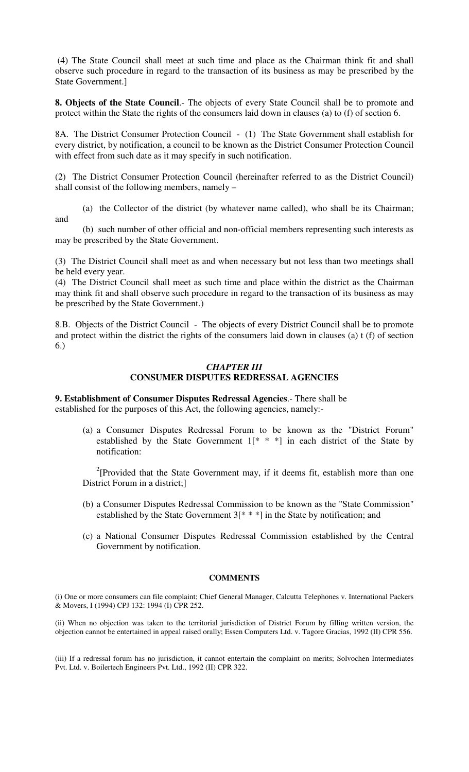(4) The State Council shall meet at such time and place as the Chairman think fit and shall observe such procedure in regard to the transaction of its business as may be prescribed by the State Government.]

**8. Objects of the State Council.**- The objects of every State Council shall be to promote and protect within the State the rights of the consumers laid down in clauses (a) to (f) of section 6.

8A. The District Consumer Protection Council - (1) The State Government shall establish for every district, by notification, a council to be known as the District Consumer Protection Council with effect from such date as it may specify in such notification.

(2) The District Consumer Protection Council (hereinafter referred to as the District Council) shall consist of the following members, namely –

 (a) the Collector of the district (by whatever name called), who shall be its Chairman; and

 (b) such number of other official and non-official members representing such interests as may be prescribed by the State Government.

(3) The District Council shall meet as and when necessary but not less than two meetings shall be held every year.

(4) The District Council shall meet as such time and place within the district as the Chairman may think fit and shall observe such procedure in regard to the transaction of its business as may be prescribed by the State Government.)

8.B. Objects of the District Council - The objects of every District Council shall be to promote and protect within the district the rights of the consumers laid down in clauses (a) t (f) of section 6.)

### *CHAPTER III*  **CONSUMER DISPUTES REDRESSAL AGENCIES**

**9. Establishment of Consumer Disputes Redressal Agencies**.- There shall be established for the purposes of this Act, the following agencies, namely:-

(a) a Consumer Disputes Redressal Forum to be known as the "District Forum" established by the State Government 1[\* \* \*] in each district of the State by notification:

<sup>2</sup>[Provided that the State Government may, if it deems fit, establish more than one District Forum in a district;]

- (b) a Consumer Disputes Redressal Commission to be known as the "State Commission" established by the State Government 3[\* \* \*] in the State by notification; and
- (c) a National Consumer Disputes Redressal Commission established by the Central Government by notification.

### **COMMENTS**

(i) One or more consumers can file complaint; Chief General Manager, Calcutta Telephones v. International Packers & Movers, I (1994) CPJ 132: 1994 (I) CPR 252.

(ii) When no objection was taken to the territorial jurisdiction of District Forum by filling written version, the objection cannot be entertained in appeal raised orally; Essen Computers Ltd. v. Tagore Gracias, 1992 (II) CPR 556.

(iii) If a redressal forum has no jurisdiction, it cannot entertain the complaint on merits; Solvochen Intermediates Pvt. Ltd. v. Boilertech Engineers Pvt. Ltd., 1992 (II) CPR 322.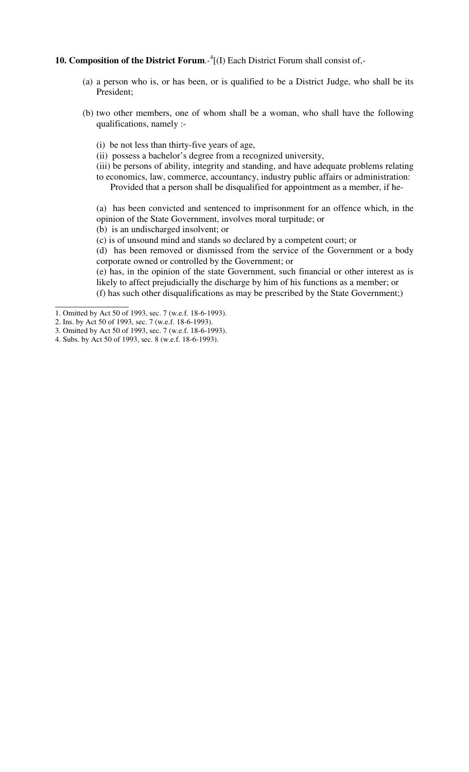## **10. Composition of the District Forum.** <sup>4</sup>[(I) Each District Forum shall consist of,-

- (a) a person who is, or has been, or is qualified to be a District Judge, who shall be its President;
- (b) two other members, one of whom shall be a woman, who shall have the following qualifications, namely :-
	- (i) be not less than thirty-five years of age,
	- (ii) possess a bachelor's degree from a recognized university,
	- (iii) be persons of ability, integrity and standing, and have adequate problems relating
	- to economics, law, commerce, accountancy, industry public affairs or administration: Provided that a person shall be disqualified for appointment as a member, if he-

(a) has been convicted and sentenced to imprisonment for an offence which, in the opinion of the State Government, involves moral turpitude; or

- (b) is an undischarged insolvent; or
- (c) is of unsound mind and stands so declared by a competent court; or

(d) has been removed or dismissed from the service of the Government or a body corporate owned or controlled by the Government; or

(e) has, in the opinion of the state Government, such financial or other interest as is likely to affect prejudicially the discharge by him of his functions as a member; or (f) has such other disqualifications as may be prescribed by the State Government;)

\_\_\_\_\_\_\_\_\_\_\_\_\_\_\_\_ 1. Omitted by Act 50 of 1993, sec. 7 (w.e.f. 18-6-1993).

<sup>2.</sup> Ins. by Act 50 of 1993, sec. 7 (w.e.f. 18-6-1993).

<sup>3.</sup> Omitted by Act 50 of 1993, sec. 7 (w.e.f. 18-6-1993).

<sup>4.</sup> Subs. by Act 50 of 1993, sec. 8 (w.e.f. 18-6-1993).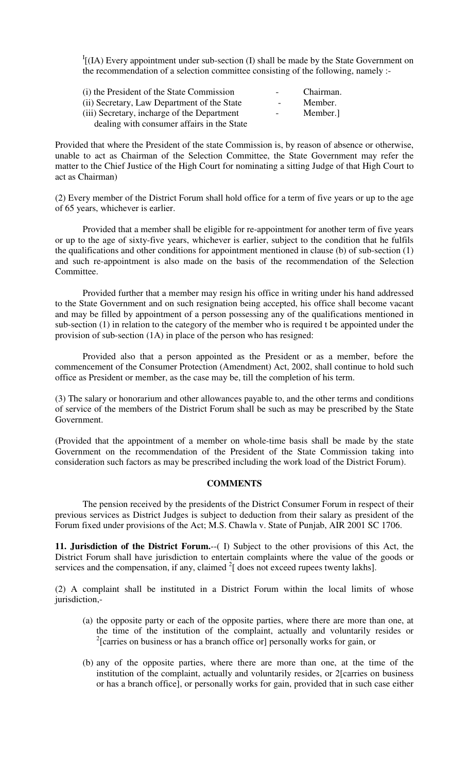$I[(IA)$  Every appointment under sub-section (I) shall be made by the State Government on the recommendation of a selection committee consisting of the following, namely :-

| (i) the President of the State Commission   | $\sim$         | Chairman. |
|---------------------------------------------|----------------|-----------|
| (ii) Secretary, Law Department of the State | $\blacksquare$ | Member.   |
| (iii) Secretary, incharge of the Department | $\sim$         | Member.   |
| dealing with consumer affairs in the State  |                |           |

Provided that where the President of the state Commission is, by reason of absence or otherwise, unable to act as Chairman of the Selection Committee, the State Government may refer the matter to the Chief Justice of the High Court for nominating a sitting Judge of that High Court to act as Chairman)

(2) Every member of the District Forum shall hold office for a term of five years or up to the age of 65 years, whichever is earlier.

Provided that a member shall be eligible for re-appointment for another term of five years or up to the age of sixty-five years, whichever is earlier, subject to the condition that he fulfils the qualifications and other conditions for appointment mentioned in clause (b) of sub-section (1) and such re-appointment is also made on the basis of the recommendation of the Selection Committee.

 Provided further that a member may resign his office in writing under his hand addressed to the State Government and on such resignation being accepted, his office shall become vacant and may be filled by appointment of a person possessing any of the qualifications mentioned in sub-section (1) in relation to the category of the member who is required t be appointed under the provision of sub-section (1A) in place of the person who has resigned:

 Provided also that a person appointed as the President or as a member, before the commencement of the Consumer Protection (Amendment) Act, 2002, shall continue to hold such office as President or member, as the case may be, till the completion of his term.

(3) The salary or honorarium and other allowances payable to, and the other terms and conditions of service of the members of the District Forum shall be such as may be prescribed by the State Government.

(Provided that the appointment of a member on whole-time basis shall be made by the state Government on the recommendation of the President of the State Commission taking into consideration such factors as may be prescribed including the work load of the District Forum).

### **COMMENTS**

 The pension received by the presidents of the District Consumer Forum in respect of their previous services as District Judges is subject to deduction from their salary as president of the Forum fixed under provisions of the Act; M.S. Chawla v. State of Punjab, AIR 2001 SC 1706.

**11. Jurisdiction of the District Forum.**--( I) Subject to the other provisions of this Act, the District Forum shall have jurisdiction to entertain complaints where the value of the goods or services and the compensation, if any, claimed  $2 \times 1$  does not exceed rupees twenty lakhs].

(2) A complaint shall be instituted in a District Forum within the local limits of whose jurisdiction,-

- (a) the opposite party or each of the opposite parties, where there are more than one, at the time of the institution of the complaint, actually and voluntarily resides or <sup>2</sup>[carries on business or has a branch office or] personally works for gain, or
- (b) any of the opposite parties, where there are more than one, at the time of the institution of the complaint, actually and voluntarily resides, or 2[carries on business or has a branch office], or personally works for gain, provided that in such case either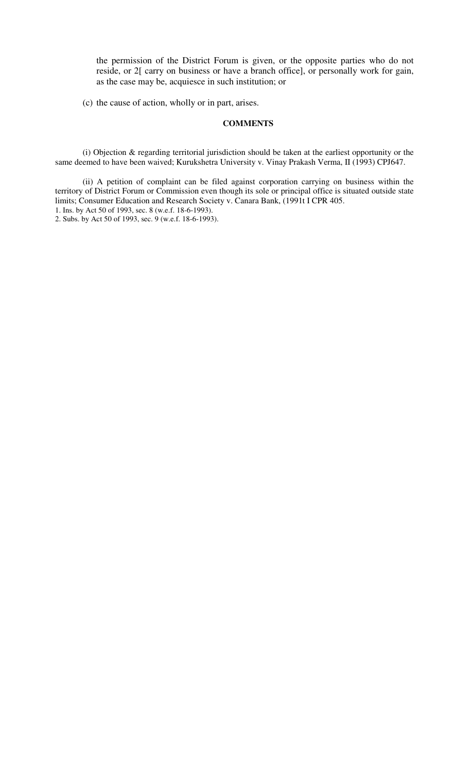the permission of the District Forum is given, or the opposite parties who do not reside, or 2[ carry on business or have a branch office], or personally work for gain, as the case may be, acquiesce in such institution; or

(c) the cause of action, wholly or in part, arises.

### **COMMENTS**

(i) Objection & regarding territorial jurisdiction should be taken at the earliest opportunity or the same deemed to have been waived; Kurukshetra University v. Vinay Prakash Verma, II (1993) CPJ647.

(ii) A petition of complaint can be filed against corporation carrying on business within the territory of District Forum or Commission even though its sole or principal office is situated outside state limits; Consumer Education and Research Society v. Canara Bank, (1991t I CPR 405.

1. Ins. by Act 50 of 1993, sec. 8 (w.e.f. 18-6-1993).

2. Subs. by Act 50 of 1993, sec. 9 (w.e.f. 18-6-1993).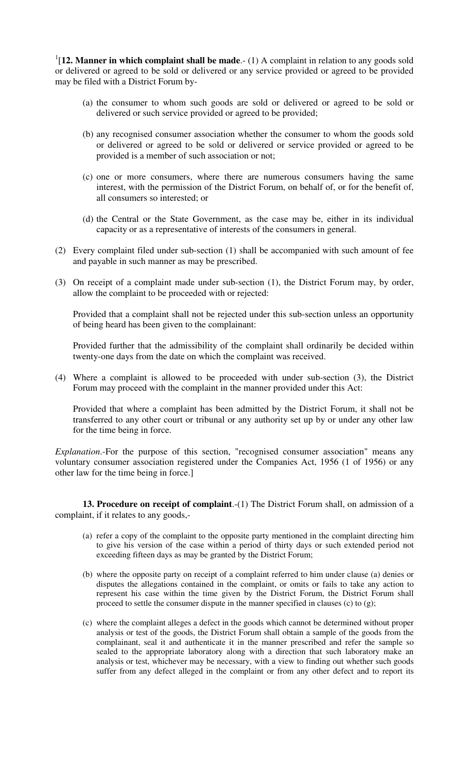<sup>1</sup>[12. Manner in which complaint shall be made.- (1) A complaint in relation to any goods sold or delivered or agreed to be sold or delivered or any service provided or agreed to be provided may be filed with a District Forum by-

- (a) the consumer to whom such goods are sold or delivered or agreed to be sold or delivered or such service provided or agreed to be provided;
- (b) any recognised consumer association whether the consumer to whom the goods sold or delivered or agreed to be sold or delivered or service provided or agreed to be provided is a member of such association or not;
- (c) one or more consumers, where there are numerous consumers having the same interest, with the permission of the District Forum, on behalf of, or for the benefit of, all consumers so interested; or
- (d) the Central or the State Government, as the case may be, either in its individual capacity or as a representative of interests of the consumers in general.
- (2) Every complaint filed under sub-section (1) shall be accompanied with such amount of fee and payable in such manner as may be prescribed.
- (3) On receipt of a complaint made under sub-section (1), the District Forum may, by order, allow the complaint to be proceeded with or rejected:

Provided that a complaint shall not be rejected under this sub-section unless an opportunity of being heard has been given to the complainant:

Provided further that the admissibility of the complaint shall ordinarily be decided within twenty-one days from the date on which the complaint was received.

(4) Where a complaint is allowed to be proceeded with under sub-section (3), the District Forum may proceed with the complaint in the manner provided under this Act:

Provided that where a complaint has been admitted by the District Forum, it shall not be transferred to any other court or tribunal or any authority set up by or under any other law for the time being in force.

*Explanation*.-For the purpose of this section, "recognised consumer association" means any voluntary consumer association registered under the Companies Act, 1956 (1 of 1956) or any other law for the time being in force.]

**13. Procedure on receipt of complaint.**-(1) The District Forum shall, on admission of a complaint, if it relates to any goods,-

- (a) refer a copy of the complaint to the opposite party mentioned in the complaint directing him to give his version of the case within a period of thirty days or such extended period not exceeding fifteen days as may be granted by the District Forum;
- (b) where the opposite party on receipt of a complaint referred to him under clause (a) denies or disputes the allegations contained in the complaint, or omits or fails to take any action to represent his case within the time given by the District Forum, the District Forum shall proceed to settle the consumer dispute in the manner specified in clauses (c) to (g);
- (c) where the complaint alleges a defect in the goods which cannot be determined without proper analysis or test of the goods, the District Forum shall obtain a sample of the goods from the complainant, seal it and authenticate it in the manner prescribed and refer the sample so sealed to the appropriate laboratory along with a direction that such laboratory make an analysis or test, whichever may be necessary, with a view to finding out whether such goods suffer from any defect alleged in the complaint or from any other defect and to report its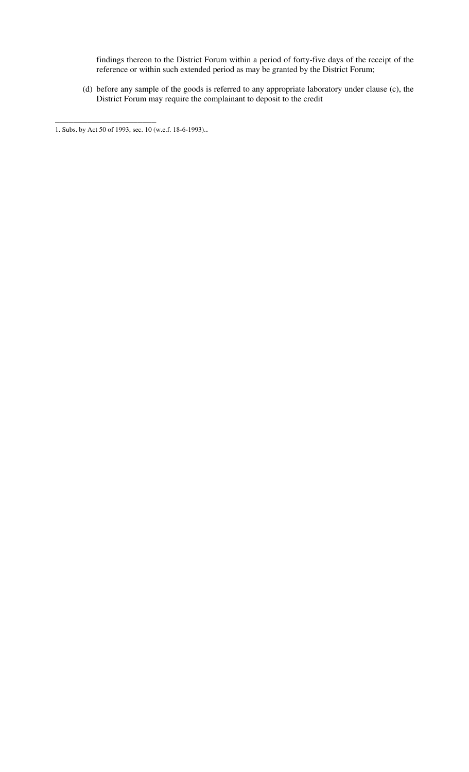findings thereon to the District Forum within a period of forty-five days of the receipt of the reference or within such extended period as may be granted by the District Forum;

(d) before any sample of the goods is referred to any appropriate laboratory under clause (c), the District Forum may require the complainant to deposit to the credit

\_\_\_\_\_\_\_\_\_\_\_\_\_\_\_\_\_\_\_\_\_\_

<sup>1.</sup> Subs. by Act 50 of 1993, sec. 10 (w.e.f. 18-6-1993)..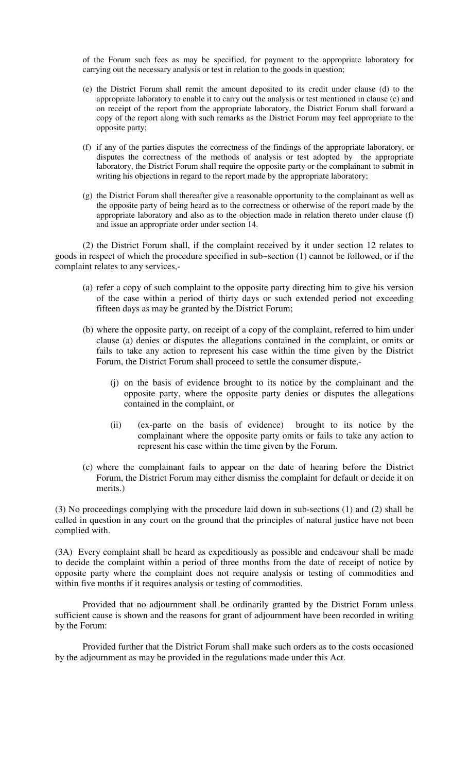of the Forum such fees as may be specified, for payment to the appropriate laboratory for carrying out the necessary analysis or test in relation to the goods in question;

- (e) the District Forum shall remit the amount deposited to its credit under clause (d) to the appropriate laboratory to enable it to carry out the analysis or test mentioned in clause (c) and on receipt of the report from the appropriate laboratory, the District Forum shall forward a copy of the report along with such remarks as the District Forum may feel appropriate to the opposite party;
- (f) if any of the parties disputes the correctness of the findings of the appropriate laboratory, or disputes the correctness of the methods of analysis or test adopted by the appropriate laboratory, the District Forum shall require the opposite party or the complainant to submit in writing his objections in regard to the report made by the appropriate laboratory;
- (g) the District Forum shall thereafter give a reasonable opportunity to the complainant as well as the opposite party of being heard as to the correctness or otherwise of the report made by the appropriate laboratory and also as to the objection made in relation thereto under clause (f) and issue an appropriate order under section 14.

(2) the District Forum shall, if the complaint received by it under section 12 relates to goods in respect of which the procedure specified in sub~section (1) cannot be followed, or if the complaint relates to any services,-

- (a) refer a copy of such complaint to the opposite party directing him to give his version of the case within a period of thirty days or such extended period not exceeding fifteen days as may be granted by the District Forum;
- (b) where the opposite party, on receipt of a copy of the complaint, referred to him under clause (a) denies or disputes the allegations contained in the complaint, or omits or fails to take any action to represent his case within the time given by the District Forum, the District Forum shall proceed to settle the consumer dispute,-
	- (j) on the basis of evidence brought to its notice by the complainant and the opposite party, where the opposite party denies or disputes the allegations contained in the complaint, or
	- (ii) (ex-parte on the basis of evidence) brought to its notice by the complainant where the opposite party omits or fails to take any action to represent his case within the time given by the Forum.
- (c) where the complainant fails to appear on the date of hearing before the District Forum, the District Forum may either dismiss the complaint for default or decide it on merits.)

(3) No proceedings complying with the procedure laid down in sub-sections (1) and (2) shall be called in question in any court on the ground that the principles of natural justice have not been complied with.

(3A) Every complaint shall be heard as expeditiously as possible and endeavour shall be made to decide the complaint within a period of three months from the date of receipt of notice by opposite party where the complaint does not require analysis or testing of commodities and within five months if it requires analysis or testing of commodities.

 Provided that no adjournment shall be ordinarily granted by the District Forum unless sufficient cause is shown and the reasons for grant of adjournment have been recorded in writing by the Forum:

 Provided further that the District Forum shall make such orders as to the costs occasioned by the adjournment as may be provided in the regulations made under this Act.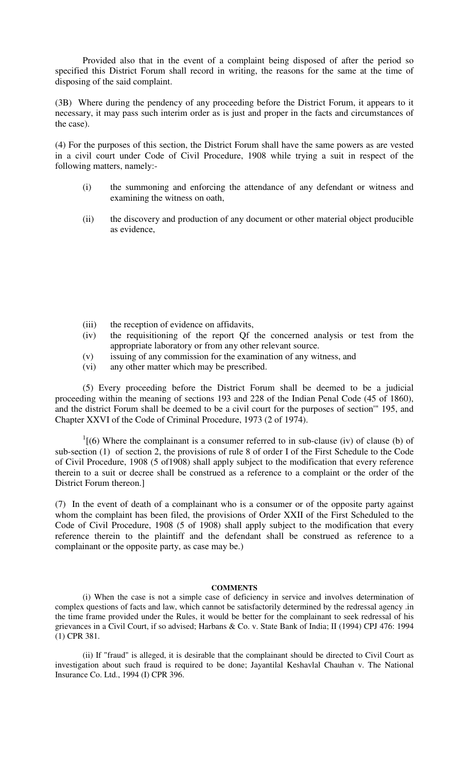Provided also that in the event of a complaint being disposed of after the period so specified this District Forum shall record in writing, the reasons for the same at the time of disposing of the said complaint.

(3B) Where during the pendency of any proceeding before the District Forum, it appears to it necessary, it may pass such interim order as is just and proper in the facts and circumstances of the case).

(4) For the purposes of this section, the District Forum shall have the same powers as are vested in a civil court under Code of Civil Procedure, 1908 while trying a suit in respect of the following matters, namely:-

- (i) the summoning and enforcing the attendance of any defendant or witness and examining the witness on oath,
- (ii) the discovery and production of any document or other material object producible as evidence,

- (iii) the reception of evidence on affidavits,
- (iv) the requisitioning of the report Qf the concerned analysis or test from the appropriate laboratory or from any other relevant source.
- (v) issuing of any commission for the examination of any witness, and
- (vi) any other matter which may be prescribed.

(5) Every proceeding before the District Forum shall be deemed to be a judicial proceeding within the meaning of sections 193 and 228 of the Indian Penal Code (45 of 1860), and the district Forum shall be deemed to be a civil court for the purposes of section'" 195, and Chapter XXVI of the Code of Criminal Procedure, 1973 (2 of 1974).

 $1(6)$  Where the complainant is a consumer referred to in sub-clause (iv) of clause (b) of sub-section (1) of section 2, the provisions of rule 8 of order I of the First Schedule to the Code of Civil Procedure, 1908 (5 of1908) shall apply subject to the modification that every reference therein to a suit or decree shall be construed as a reference to a complaint or the order of the District Forum thereon.]

(7) In the event of death of a complainant who is a consumer or of the opposite party against whom the complaint has been filed, the provisions of Order XXII of the First Scheduled to the Code of Civil Procedure, 1908 (5 of 1908) shall apply subject to the modification that every reference therein to the plaintiff and the defendant shall be construed as reference to a complainant or the opposite party, as case may be.)

### **COMMENTS**

(i) When the case is not a simple case of deficiency in service and involves determination of complex questions of facts and law, which cannot be satisfactorily determined by the redressal agency .in the time frame provided under the Rules, it would be better for the complainant to seek redressal of his grievances in a Civil Court, if so advised; Harbans & Co. v. State Bank of India; II (1994) CPJ 476: 1994 (1) CPR 381.

(ii) If "fraud" is alleged, it is desirable that the complainant should be directed to Civil Court as investigation about such fraud is required to be done; Jayantilal Keshavlal Chauhan v. The National Insurance Co. Ltd., 1994 (I) CPR 396.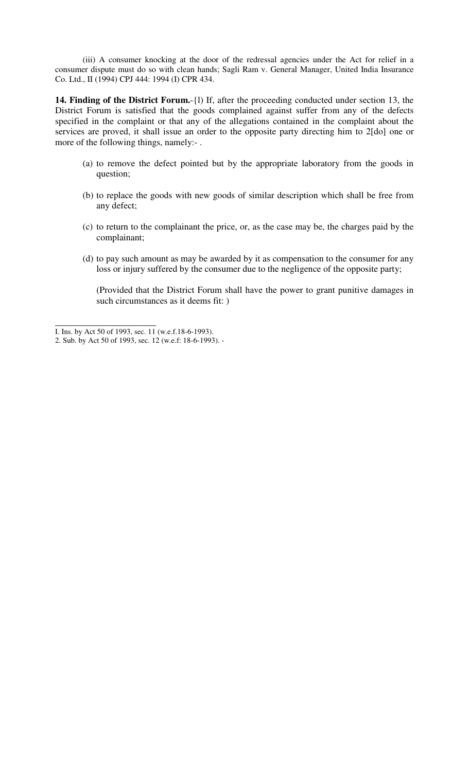(iii) A consumer knocking at the door of the redressal agencies under the Act for relief in a consumer dispute must do so with clean hands; Sagli Ram v. General Manager, United India Insurance Co. Ltd., II (1994) CPJ 444: 1994 (I) CPR 434.

**14. Finding of the District Forum.**-{l) If, after the proceeding conducted under section 13, the District Forum is satisfied that the goods complained against suffer from any of the defects specified in the complaint or that any of the allegations contained in the complaint about the services are proved, it shall issue an order to the opposite party directing him to 2[do] one or more of the following things, namely:- .

- (a) to remove the defect pointed but by the appropriate laboratory from the goods in question;
- (b) to replace the goods with new goods of similar description which shall be free from any defect;
- (c) to return to the complainant the price, or, as the case may be, the charges paid by the complainant;
- (d) to pay such amount as may be awarded by it as compensation to the consumer for any loss or injury suffered by the consumer due to the negligence of the opposite party;

(Provided that the District Forum shall have the power to grant punitive damages in such circumstances as it deems fit: )

\_\_\_\_\_\_\_\_\_\_\_\_\_\_\_\_\_\_\_\_\_\_

I. Ins. by Act 50 of 1993, sec. 11 (w.e.f.18-6-1993).

<sup>2.</sup> Sub. by Act 50 of 1993, sec. 12 (w.e.f: 18-6-1993). -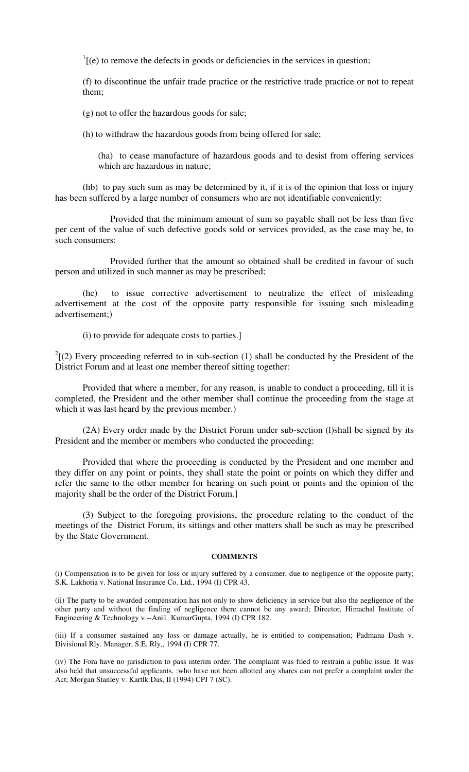$\frac{1}{1}$ [(e) to remove the defects in goods or deficiencies in the services in question;

(f) to discontinue the unfair trade practice or the restrictive trade practice or not to repeat them;

(g) not to offer the hazardous goods for sale;

(h) to withdraw the hazardous goods from being offered for sale;

 (ha) to cease manufacture of hazardous goods and to desist from offering services which are hazardous in nature;

 (hb) to pay such sum as may be determined by it, if it is of the opinion that loss or injury has been suffered by a large number of consumers who are not identifiable conveniently:

 Provided that the minimum amount of sum so payable shall not be less than five per cent of the value of such defective goods sold or services provided, as the case may be, to such consumers:

 Provided further that the amount so obtained shall be credited in favour of such person and utilized in such manner as may be prescribed;

 (hc) to issue corrective advertisement to neutralize the effect of misleading advertisement at the cost of the opposite party responsible for issuing such misleading advertisement;)

(i) to provide for adequate costs to parties.]

 $2^{2}$ [(2) Every proceeding referred to in sub-section (1) shall be conducted by the President of the District Forum and at least one member thereof sitting together:

Provided that where a member, for any reason, is unable to conduct a proceeding, till it is completed, the President and the other member shall continue the proceeding from the stage at which it was last heard by the previous member.)

(2A) Every order made by the District Forum under sub-section (l)shall be signed by its President and the member or members who conducted the proceeding:

Provided that where the proceeding is conducted by the President and one member and they differ on any point or points, they shall state the point or points on which they differ and refer the same to the other member for hearing on such point or points and the opinion of the majority shall be the order of the District Forum.]

(3) Subject to the foregoing provisions, the procedure relating to the conduct of the meetings of the District Forum, its sittings and other matters shall be such as may be prescribed by the State Government.

#### **COMMENTS**

(i) Compensation is to be given for loss or injury suffered by a consumer, due to negligence of the opposite party; S.K. Lakhotia v. National Insurance Co. Ltd., 1994 (I) CPR 43.

(ii) The party to be awarded compensation has not only to show deficiency in service but also the negligence of the other party and without the finding of negligence there cannot be any award; Director, Himachal Institute of Engineering & Technology v --Ani1\_KumarGupta, 1994 (I) CPR 182.

(iii) If a consumer sustained any loss or damage actually, he is entitled to compensation; Padmana Dash v. Divisional Rly. Manager, S.E. Rly., 1994 (I) CPR 77.

(iv) The Fora have no jurisdiction to pass interim order. The complaint was filed to restrain a public issue. It was also held that unsuccessful applicants, :who have not been allotted any shares can not prefer a complaint under the Act; Morgan Stanley v. Kartlk Das, II (1994) CPJ 7 (SC).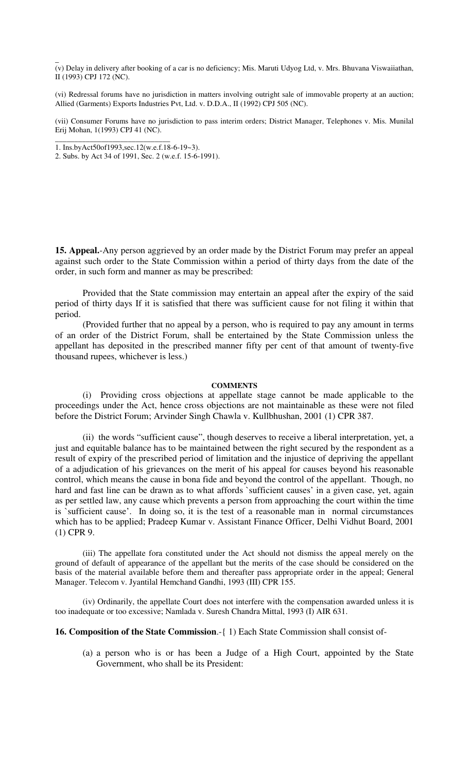$\overline{a}$ (v) Delay in delivery after booking of a car is no deficiency; Mis. Maruti Udyog Ltd, v. Mrs. Bhuvana Viswaiiathan, II (1993) CPJ 172 (NC).

(vi) Redressal forums have no jurisdiction in matters involving outright sale of immovable property at an auction; Allied (Garments) Exports Industries Pvt, Ltd. v. D.D.A., II (1992) CPJ 505 (NC).

(vii) Consumer Forums have no jurisdiction to pass interim orders; District Manager, Telephones v. Mis. Munilal Erij Mohan, 1(1993) CPJ 41 (NC).

\_\_\_\_\_\_\_\_\_\_\_\_\_\_\_\_\_\_\_\_\_\_\_\_\_\_\_\_\_\_

2. Subs. by Act 34 of 1991, Sec. 2 (w.e.f. 15-6-1991).

**15. Appeal.**-Any person aggrieved by an order made by the District Forum may prefer an appeal against such order to the State Commission within a period of thirty days from the date of the order, in such form and manner as may be prescribed:

Provided that the State commission may entertain an appeal after the expiry of the said period of thirty days If it is satisfied that there was sufficient cause for not filing it within that period.

 (Provided further that no appeal by a person, who is required to pay any amount in terms of an order of the District Forum, shall be entertained by the State Commission unless the appellant has deposited in the prescribed manner fifty per cent of that amount of twenty-five thousand rupees, whichever is less.)

#### **COMMENTS**

 (i) Providing cross objections at appellate stage cannot be made applicable to the proceedings under the Act, hence cross objections are not maintainable as these were not filed before the District Forum; Arvinder Singh Chawla v. Kullbhushan, 2001 (1) CPR 387.

 (ii) the words "sufficient cause", though deserves to receive a liberal interpretation, yet, a just and equitable balance has to be maintained between the right secured by the respondent as a result of expiry of the prescribed period of limitation and the injustice of depriving the appellant of a adjudication of his grievances on the merit of his appeal for causes beyond his reasonable control, which means the cause in bona fide and beyond the control of the appellant. Though, no hard and fast line can be drawn as to what affords `sufficient causes' in a given case, yet, again as per settled law, any cause which prevents a person from approaching the court within the time is `sufficient cause'. In doing so, it is the test of a reasonable man in normal circumstances which has to be applied; Pradeep Kumar v. Assistant Finance Officer, Delhi Vidhut Board, 2001 (1) CPR 9.

(iii) The appellate fora constituted under the Act should not dismiss the appeal merely on the ground of default of appearance of the appellant but the merits of the case should be considered on the basis of the material available before them and thereafter pass appropriate order in the appeal; General Manager. Telecom v. Jyantilal Hemchand Gandhi, 1993 (III) CPR 155.

(iv) Ordinarily, the appellate Court does not interfere with the compensation awarded unless it is too inadequate or too excessive; Namlada v. Suresh Chandra Mittal, 1993 (I) AIR 631.

**16. Composition of the State Commission**.-{ 1) Each State Commission shall consist of-

(a) a person who is or has been a Judge of a High Court, appointed by the State Government, who shall be its President:

<sup>1.</sup> Ins.byAct50of1993,sec.12(w.e.f.18-6-19~3).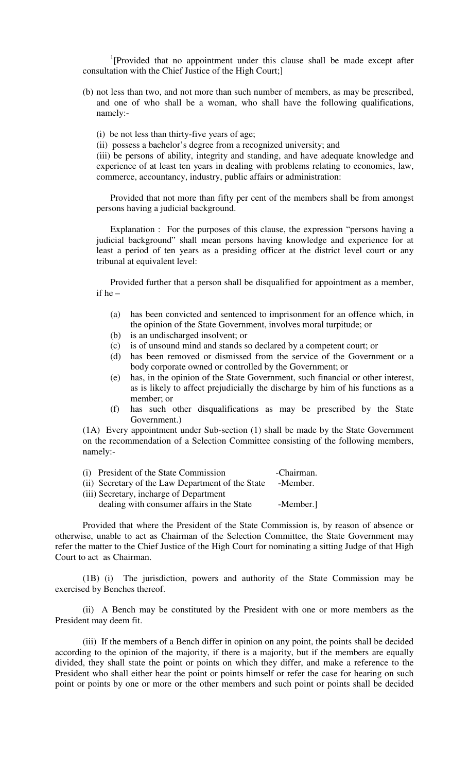<sup>1</sup>[Provided that no appointment under this clause shall be made except after consultation with the Chief Justice of the High Court;]

(b) not less than two, and not more than such number of members, as may be prescribed, and one of who shall be a woman, who shall have the following qualifications, namely:-

(i) be not less than thirty-five years of age;

(ii) possess a bachelor's degree from a recognized university; and

(iii) be persons of ability, integrity and standing, and have adequate knowledge and experience of at least ten years in dealing with problems relating to economics, law, commerce, accountancy, industry, public affairs or administration:

 Provided that not more than fifty per cent of the members shall be from amongst persons having a judicial background.

 Explanation : For the purposes of this clause, the expression "persons having a judicial background" shall mean persons having knowledge and experience for at least a period of ten years as a presiding officer at the district level court or any tribunal at equivalent level:

 Provided further that a person shall be disqualified for appointment as a member, if he –

- (a) has been convicted and sentenced to imprisonment for an offence which, in the opinion of the State Government, involves moral turpitude; or
- (b) is an undischarged insolvent; or
- (c) is of unsound mind and stands so declared by a competent court; or
- (d) has been removed or dismissed from the service of the Government or a body corporate owned or controlled by the Government; or
- (e) has, in the opinion of the State Government, such financial or other interest, as is likely to affect prejudicially the discharge by him of his functions as a member; or
- (f) has such other disqualifications as may be prescribed by the State Government.)

(1A) Every appointment under Sub-section (1) shall be made by the State Government on the recommendation of a Selection Committee consisting of the following members, namely:-

- (i) President of the State Commission -Chairman.
- (ii) Secretary of the Law Department of the State -Member.
- (iii) Secretary, incharge of Department

dealing with consumer affairs in the State -Member.

 Provided that where the President of the State Commission is, by reason of absence or otherwise, unable to act as Chairman of the Selection Committee, the State Government may refer the matter to the Chief Justice of the High Court for nominating a sitting Judge of that High Court to act as Chairman.

 (1B) (i) The jurisdiction, powers and authority of the State Commission may be exercised by Benches thereof.

 (ii) A Bench may be constituted by the President with one or more members as the President may deem fit.

 (iii) If the members of a Bench differ in opinion on any point, the points shall be decided according to the opinion of the majority, if there is a majority, but if the members are equally divided, they shall state the point or points on which they differ, and make a reference to the President who shall either hear the point or points himself or refer the case for hearing on such point or points by one or more or the other members and such point or points shall be decided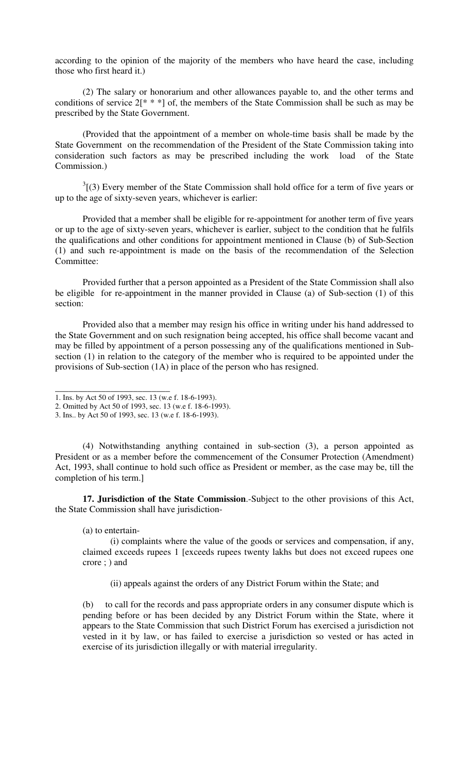according to the opinion of the majority of the members who have heard the case, including those who first heard it.)

(2) The salary or honorarium and other allowances payable to, and the other terms and conditions of service  $2[^{*}$  \* \*] of, the members of the State Commission shall be such as may be prescribed by the State Government.

 (Provided that the appointment of a member on whole-time basis shall be made by the State Government on the recommendation of the President of the State Commission taking into consideration such factors as may be prescribed including the work load of the State Commission.)

 $3$ [(3) Every member of the State Commission shall hold office for a term of five years or up to the age of sixty-seven years, whichever is earlier:

Provided that a member shall be eligible for re-appointment for another term of five years or up to the age of sixty-seven years, whichever is earlier, subject to the condition that he fulfils the qualifications and other conditions for appointment mentioned in Clause (b) of Sub-Section (1) and such re-appointment is made on the basis of the recommendation of the Selection Committee:

Provided further that a person appointed as a President of the State Commission shall also be eligible for re-appointment in the manner provided in Clause (a) of Sub-section (1) of this section:

Provided also that a member may resign his office in writing under his hand addressed to the State Government and on such resignation being accepted, his office shall become vacant and may be filled by appointment of a person possessing any of the qualifications mentioned in Subsection (1) in relation to the category of the member who is required to be appointed under the provisions of Sub-section (1A) in place of the person who has resigned.

\_\_\_\_\_\_\_\_\_\_\_\_\_\_\_\_\_\_\_\_\_\_\_\_\_

(4) Notwithstanding anything contained in sub-section (3), a person appointed as President or as a member before the commencement of the Consumer Protection (Amendment) Act, 1993, shall continue to hold such office as President or member, as the case may be, till the completion of his term.]

**17. Jurisdiction of the State Commission**.-Subject to the other provisions of this Act, the State Commission shall have jurisdiction-

#### (a) to entertain-

(i) complaints where the value of the goods or services and compensation, if any, claimed exceeds rupees 1 [exceeds rupees twenty lakhs but does not exceed rupees one crore ; ) and

(ii) appeals against the orders of any District Forum within the State; and

(b) to call for the records and pass appropriate orders in any consumer dispute which is pending before or has been decided by any District Forum within the State, where it appears to the State Commission that such District Forum has exercised a jurisdiction not vested in it by law, or has failed to exercise a jurisdiction so vested or has acted in exercise of its jurisdiction illegally or with material irregularity.

<sup>1.</sup> Ins. by Act 50 of 1993, sec. 13 (w.e f. 18-6-1993).

<sup>2.</sup> Omitted by Act 50 of 1993, sec. 13 (w.e f. 18-6-1993).

<sup>3.</sup> Ins.. by Act 50 of 1993, sec. 13 (w.e f. 18-6-1993).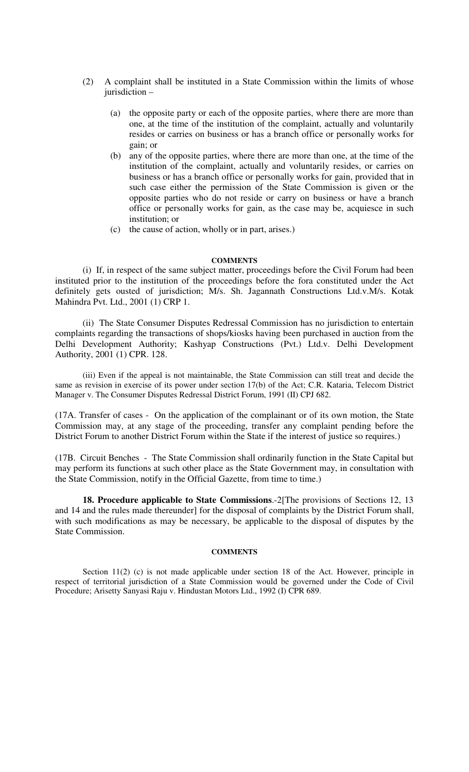- (2) A complaint shall be instituted in a State Commission within the limits of whose jurisdiction –
	- (a) the opposite party or each of the opposite parties, where there are more than one, at the time of the institution of the complaint, actually and voluntarily resides or carries on business or has a branch office or personally works for gain; or
	- (b) any of the opposite parties, where there are more than one, at the time of the institution of the complaint, actually and voluntarily resides, or carries on business or has a branch office or personally works for gain, provided that in such case either the permission of the State Commission is given or the opposite parties who do not reside or carry on business or have a branch office or personally works for gain, as the case may be, acquiesce in such institution; or
	- (c) the cause of action, wholly or in part, arises.)

### **COMMENTS**

 (i) If, in respect of the same subject matter, proceedings before the Civil Forum had been instituted prior to the institution of the proceedings before the fora constituted under the Act definitely gets ousted of jurisdiction; M/s. Sh. Jagannath Constructions Ltd.v.M/s. Kotak Mahindra Pvt. Ltd., 2001 (1) CRP 1.

 (ii) The State Consumer Disputes Redressal Commission has no jurisdiction to entertain complaints regarding the transactions of shops/kiosks having been purchased in auction from the Delhi Development Authority; Kashyap Constructions (Pvt.) Ltd.v. Delhi Development Authority, 2001 (1) CPR. 128.

(iii) Even if the appeal is not maintainable, the State Commission can still treat and decide the same as revision in exercise of its power under section 17(b) of the Act; C.R. Kataria, Telecom District Manager v. The Consumer Disputes Redressal District Forum, 1991 (II) CPJ 682.

(17A. Transfer of cases - On the application of the complainant or of its own motion, the State Commission may, at any stage of the proceeding, transfer any complaint pending before the District Forum to another District Forum within the State if the interest of justice so requires.)

(17B. Circuit Benches - The State Commission shall ordinarily function in the State Capital but may perform its functions at such other place as the State Government may, in consultation with the State Commission, notify in the Official Gazette, from time to time.)

**18. Procedure applicable to State Commissions**.-2[The provisions of Sections 12, 13 and 14 and the rules made thereunder] for the disposal of complaints by the District Forum shall, with such modifications as may be necessary, be applicable to the disposal of disputes by the State Commission.

#### **COMMENTS**

Section 11(2) (c) is not made applicable under section 18 of the Act. However, principle in respect of territorial jurisdiction of a State Commission would be governed under the Code of Civil Procedure; Arisetty Sanyasi Raju v. Hindustan Motors Ltd., 1992 (I) CPR 689.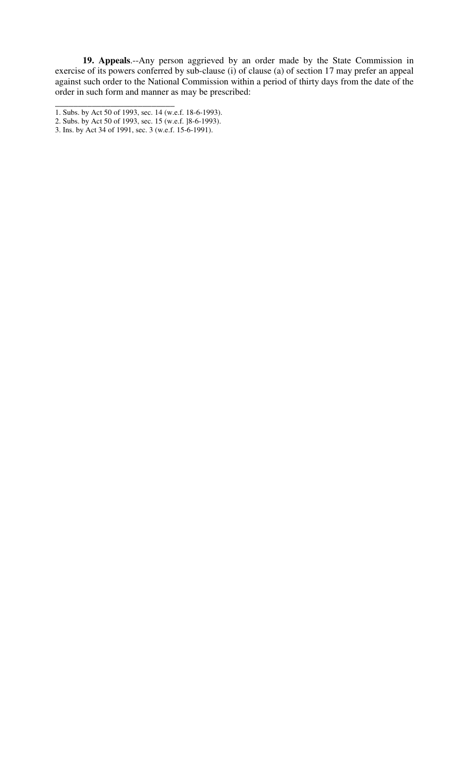**19. Appeals**.--Any person aggrieved by an order made by the State Commission in exercise of its powers conferred by sub-clause (i) of clause (a) of section 17 may prefer an appeal against such order to the National Commission within a period of thirty days from the date of the order in such form and manner as may be prescribed:

\_\_\_\_\_\_\_\_\_\_\_\_\_\_\_\_\_\_\_\_\_\_\_\_\_\_

<sup>1.</sup> Subs. by Act 50 of 1993, sec. 14 (w.e.f. 18-6-1993).

<sup>2.</sup> Subs. by Act 50 of 1993, sec. 15 (w.e.f. ]8-6-1993).

<sup>3.</sup> Ins. by Act 34 of 1991, sec. 3 (w.e.f. 15-6-1991).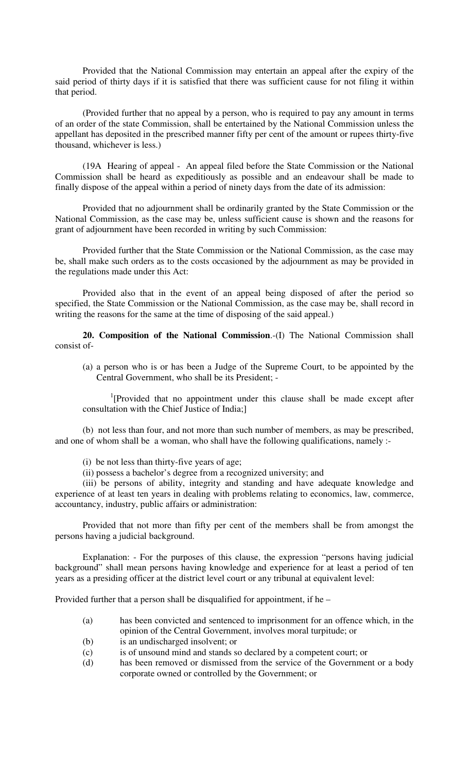Provided that the National Commission may entertain an appeal after the expiry of the said period of thirty days if it is satisfied that there was sufficient cause for not filing it within that period.

 (Provided further that no appeal by a person, who is required to pay any amount in terms of an order of the state Commission, shall be entertained by the National Commission unless the appellant has deposited in the prescribed manner fifty per cent of the amount or rupees thirty-five thousand, whichever is less.)

 (19A Hearing of appeal - An appeal filed before the State Commission or the National Commission shall be heard as expeditiously as possible and an endeavour shall be made to finally dispose of the appeal within a period of ninety days from the date of its admission:

 Provided that no adjournment shall be ordinarily granted by the State Commission or the National Commission, as the case may be, unless sufficient cause is shown and the reasons for grant of adjournment have been recorded in writing by such Commission:

 Provided further that the State Commission or the National Commission, as the case may be, shall make such orders as to the costs occasioned by the adjournment as may be provided in the regulations made under this Act:

 Provided also that in the event of an appeal being disposed of after the period so specified, the State Commission or the National Commission, as the case may be, shall record in writing the reasons for the same at the time of disposing of the said appeal.)

**20. Composition of the National Commission**.-(I) The National Commission shall consist of-

(a) a person who is or has been a Judge of the Supreme Court, to be appointed by the Central Government, who shall be its President; -

<sup>1</sup>[Provided that no appointment under this clause shall be made except after consultation with the Chief Justice of India;]

 (b) not less than four, and not more than such number of members, as may be prescribed, and one of whom shall be a woman, who shall have the following qualifications, namely :-

(i) be not less than thirty-five years of age;

(ii) possess a bachelor's degree from a recognized university; and

 (iii) be persons of ability, integrity and standing and have adequate knowledge and experience of at least ten years in dealing with problems relating to economics, law, commerce, accountancy, industry, public affairs or administration:

 Provided that not more than fifty per cent of the members shall be from amongst the persons having a judicial background.

 Explanation: - For the purposes of this clause, the expression "persons having judicial background" shall mean persons having knowledge and experience for at least a period of ten years as a presiding officer at the district level court or any tribunal at equivalent level:

Provided further that a person shall be disqualified for appointment, if he –

- (a) has been convicted and sentenced to imprisonment for an offence which, in the opinion of the Central Government, involves moral turpitude; or
- (b) is an undischarged insolvent; or
- (c) is of unsound mind and stands so declared by a competent court; or
- (d) has been removed or dismissed from the service of the Government or a body corporate owned or controlled by the Government; or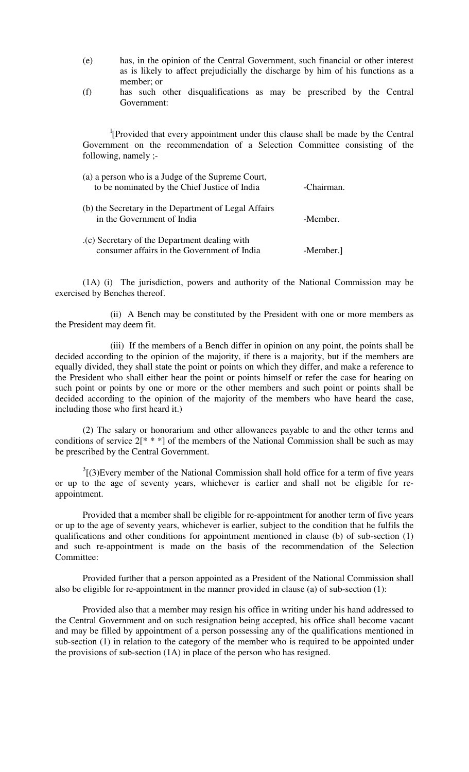- (e) has, in the opinion of the Central Government, such financial or other interest as is likely to affect prejudicially the discharge by him of his functions as a member; or
- (f) has such other disqualifications as may be prescribed by the Central Government:

<sup>1</sup>[Provided that every appointment under this clause shall be made by the Central Government on the recommendation of a Selection Committee consisting of the following, namely ;-

| (a) a person who is a Judge of the Supreme Court,<br>to be nominated by the Chief Justice of India | -Chairman |
|----------------------------------------------------------------------------------------------------|-----------|
| (b) the Secretary in the Department of Legal Affairs<br>in the Government of India                 | -Member   |
| (c) Secretary of the Department dealing with<br>consumer affairs in the Government of India        | -Member.  |

(1A) (i) The jurisdiction, powers and authority of the National Commission may be exercised by Benches thereof.

 (ii) A Bench may be constituted by the President with one or more members as the President may deem fit.

 (iii) If the members of a Bench differ in opinion on any point, the points shall be decided according to the opinion of the majority, if there is a majority, but if the members are equally divided, they shall state the point or points on which they differ, and make a reference to the President who shall either hear the point or points himself or refer the case for hearing on such point or points by one or more or the other members and such point or points shall be decided according to the opinion of the majority of the members who have heard the case, including those who first heard it.)

(2) The salary or honorarium and other allowances payable to and the other terms and conditions of service  $2[^{*}$  \* \*] of the members of the National Commission shall be such as may be prescribed by the Central Government.

 $3$ [(3)Every member of the National Commission shall hold office for a term of five years or up to the age of seventy years, whichever is earlier and shall not be eligible for reappointment.

 Provided that a member shall be eligible for re-appointment for another term of five years or up to the age of seventy years, whichever is earlier, subject to the condition that he fulfils the qualifications and other conditions for appointment mentioned in clause (b) of sub-section (1) and such re-appointment is made on the basis of the recommendation of the Selection Committee:

 Provided further that a person appointed as a President of the National Commission shall also be eligible for re-appointment in the manner provided in clause (a) of sub-section (1):

 Provided also that a member may resign his office in writing under his hand addressed to the Central Government and on such resignation being accepted, his office shall become vacant and may be filled by appointment of a person possessing any of the qualifications mentioned in sub-section (1) in relation to the category of the member who is required to be appointed under the provisions of sub-section (1A) in place of the person who has resigned.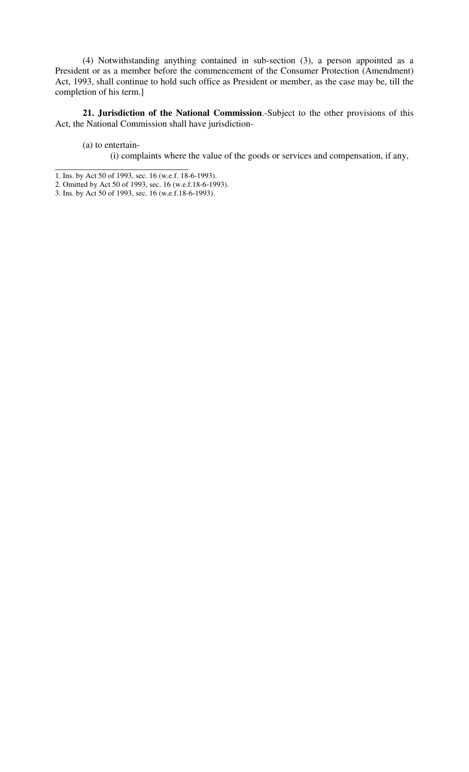(4) Notwithstanding anything contained in sub-section (3), a person appointed as a President or as a member before the commencement of the Consumer Protection (Amendment) Act, 1993, shall continue to hold such office as President or member, as the case may be, till the completion of his term.]

**21. Jurisdiction of the National Commission**.-Subject to the other provisions of this Act, the National Commission shall have jurisdiction-

(a) to entertain-

\_\_\_\_\_\_\_\_\_\_\_\_\_\_\_\_\_\_\_\_\_\_\_\_\_\_\_\_\_

(i) complaints where the value of the goods or services and compensation, if any,

- 2. Omitted by Act 50 of 1993, sec. 16 (w.e.f.18-6-1993).
- 3. Ins. by Act 50 of 1993, sec. 16 (w.e.f.18-6-1993).

<sup>1.</sup> Ins. by Act 50 of 1993, sec. 16 (w.e.f. 18-6-1993).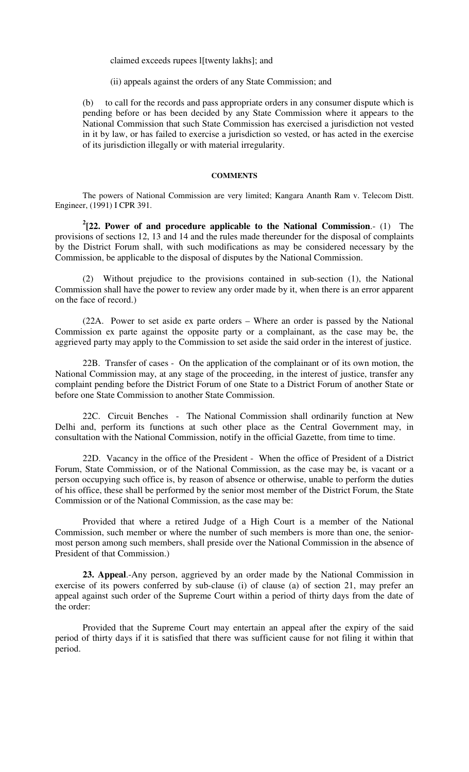claimed exceeds rupees l[twenty lakhs]; and

(ii) appeals against the orders of any State Commission; and

(b) to call for the records and pass appropriate orders in any consumer dispute which is pending before or has been decided by any State Commission where it appears to the National Commission that such State Commission has exercised a jurisdiction not vested in it by law, or has failed to exercise a jurisdiction so vested, or has acted in the exercise of its jurisdiction illegally or with material irregularity.

#### **COMMENTS**

The powers of National Commission are very limited; Kangara Ananth Ram v. Telecom Distt. Engineer, (1991) I CPR 391.

**2 [22. Power of and procedure applicable to the National Commission**.- (1) The provisions of sections 12, 13 and 14 and the rules made thereunder for the disposal of complaints by the District Forum shall, with such modifications as may be considered necessary by the Commission, be applicable to the disposal of disputes by the National Commission.

(2) Without prejudice to the provisions contained in sub-section (1), the National Commission shall have the power to review any order made by it, when there is an error apparent on the face of record.)

(22A. Power to set aside ex parte orders – Where an order is passed by the National Commission ex parte against the opposite party or a complainant, as the case may be, the aggrieved party may apply to the Commission to set aside the said order in the interest of justice.

22B. Transfer of cases - On the application of the complainant or of its own motion, the National Commission may, at any stage of the proceeding, in the interest of justice, transfer any complaint pending before the District Forum of one State to a District Forum of another State or before one State Commission to another State Commission.

22C. Circuit Benches - The National Commission shall ordinarily function at New Delhi and, perform its functions at such other place as the Central Government may, in consultation with the National Commission, notify in the official Gazette, from time to time.

22D. Vacancy in the office of the President - When the office of President of a District Forum, State Commission, or of the National Commission, as the case may be, is vacant or a person occupying such office is, by reason of absence or otherwise, unable to perform the duties of his office, these shall be performed by the senior most member of the District Forum, the State Commission or of the National Commission, as the case may be:

 Provided that where a retired Judge of a High Court is a member of the National Commission, such member or where the number of such members is more than one, the seniormost person among such members, shall preside over the National Commission in the absence of President of that Commission.)

**23. Appeal**.-Any person, aggrieved by an order made by the National Commission in exercise of its powers conferred by sub-clause (i) of clause (a) of section 21, may prefer an appeal against such order of the Supreme Court within a period of thirty days from the date of the order:

Provided that the Supreme Court may entertain an appeal after the expiry of the said period of thirty days if it is satisfied that there was sufficient cause for not filing it within that period.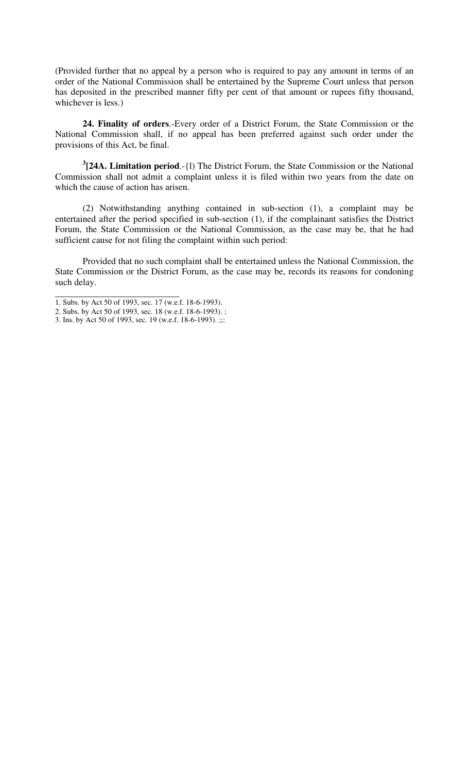(Provided further that no appeal by a person who is required to pay any amount in terms of an order of the National Commission shall be entertained by the Supreme Court unless that person has deposited in the prescribed manner fifty per cent of that amount or rupees fifty thousand, whichever is less.)

**24. Finality of orders**.-Every order of a District Forum, the State Commission or the National Commission shall, if no appeal has been preferred against such order under the provisions of this Act, be final.

**3 [24A. Limitation period**.-{l) The District Forum, the State Commission or the National Commission shall not admit a complaint unless it is filed within two years from the date on which the cause of action has arisen.

(2) Notwithstanding anything contained in sub-section (1), a complaint may be entertained after the period specified in sub-section (1), if the complainant satisfies the District Forum, the State Commission or the National Commission, as the case may be, that he had sufficient cause for not filing the complaint within such period:

Provided that no such complaint shall be entertained unless the National Commission, the State Commission or the District Forum, as the case may be, records its reasons for condoning such delay.

\_\_\_\_\_\_\_\_\_\_\_\_\_\_\_\_\_\_\_\_\_\_\_\_\_\_\_

<sup>1.</sup> Subs. by Act 50 of 1993, sec. 17 (w.e.f. 18-6-1993).

<sup>2.</sup> Subs. by Act 50 of 1993, sec. 18 (w.e.f. 18-6-1993). ;

<sup>3.</sup> Ins. by Act 50 of 1993, sec. 19 (w.e.f. 18-6-1993). ;;: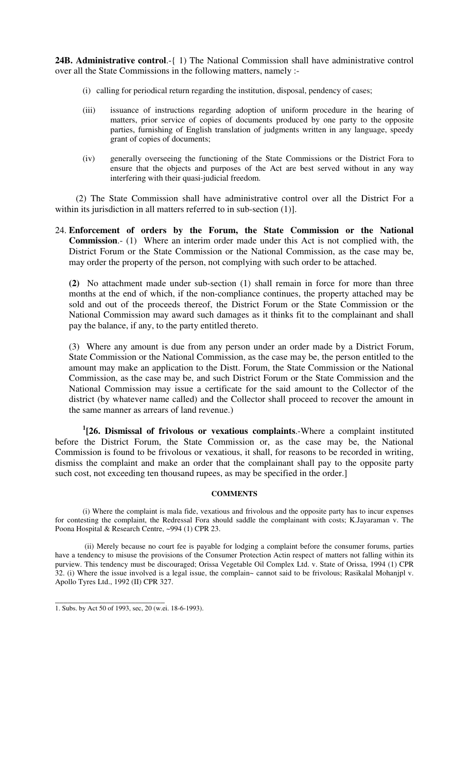**24B. Administrative control**.-{ 1) The National Commission shall have administrative control over all the State Commissions in the following matters, namely :-

- (i) calling for periodical return regarding the institution, disposal, pendency of cases;
- (iii) issuance of instructions regarding adoption of uniform procedure in the hearing of matters, prior service of copies of documents produced by one party to the opposite parties, furnishing of English translation of judgments written in any language, speedy grant of copies of documents;
- (iv) generally overseeing the functioning of the State Commissions or the District Fora to ensure that the objects and purposes of the Act are best served without in any way interfering with their quasi-judicial freedom.

 (2) The State Commission shall have administrative control over all the District For a within its jurisdiction in all matters referred to in sub-section (1).

24. **Enforcement of orders by the Forum, the State Commission or the National Commission**.- (1) Where an interim order made under this Act is not complied with, the District Forum or the State Commission or the National Commission, as the case may be, may order the property of the person, not complying with such order to be attached.

**(2)** No attachment made under sub-section (1) shall remain in force for more than three months at the end of which, if the non-compliance continues, the property attached may be sold and out of the proceeds thereof, the District Forum or the State Commission or the National Commission may award such damages as it thinks fit to the complainant and shall pay the balance, if any, to the party entitled thereto.

(3) Where any amount is due from any person under an order made by a District Forum, State Commission or the National Commission, as the case may be, the person entitled to the amount may make an application to the Distt. Forum, the State Commission or the National Commission, as the case may be, and such District Forum or the State Commission and the National Commission may issue a certificate for the said amount to the Collector of the district (by whatever name called) and the Collector shall proceed to recover the amount in the same manner as arrears of land revenue.)

**1 [26. Dismissal of frivolous or vexatious complaints**.-Where a complaint instituted before the District Forum, the State Commission or, as the case may be, the National Commission is found to be frivolous or vexatious, it shall, for reasons to be recorded in writing, dismiss the complaint and make an order that the complainant shall pay to the opposite party such cost, not exceeding ten thousand rupees, as may be specified in the order.]

#### **COMMENTS**

(i) Where the complaint is mala fide, vexatious and frivolous and the opposite party has to incur expenses for contesting the complaint, the Redressal Fora should saddle the complainant with costs; K.Jayaraman v. The Poona Hospital & Research Centre, ~994 (1) CPR 23.

 (ii) Merely because no court fee is payable for lodging a complaint before the consumer forums, parties have a tendency to misuse the provisions of the Consumer Protection Actin respect of matters not falling within its purview. This tendency must be discouraged; Orissa Vegetable Oil Complex Ltd. v. State of Orissa, 1994 (1) CPR 32. (i) Where the issue involved is a legal issue, the complain~ cannot said to be frivolous; Rasikalal Mohanjpl v. Apollo Tyres Ltd., 1992 (II) CPR 327.

\_\_\_\_\_\_\_\_\_\_\_\_\_\_\_\_\_\_\_\_\_\_\_\_\_\_

<sup>1.</sup> Subs. by Act 50 of 1993, sec, 20 (w.ei. 18-6-1993).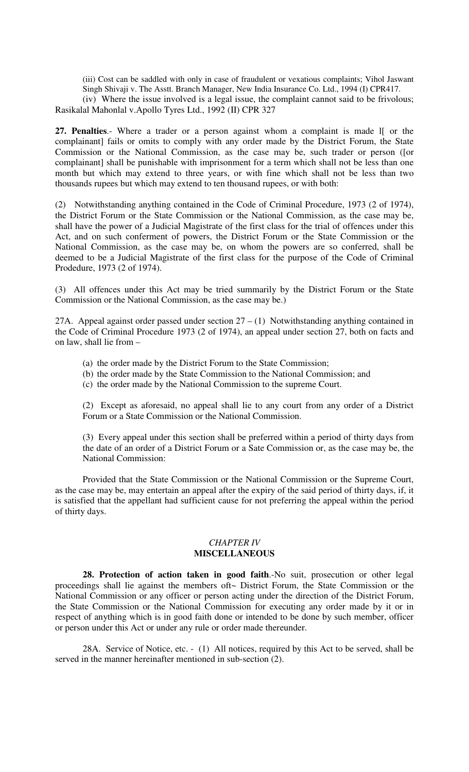(iii) Cost can be saddled with only in case of fraudulent or vexatious complaints; Vihol Jaswant Singh Shivaji v. The Asstt. Branch Manager, New India Insurance Co. Ltd., 1994 (I) CPR417.

 (iv) Where the issue involved is a legal issue, the complaint cannot said to be frivolous; Rasikalal Mahonlal v.Apollo Tyres Ltd., 1992 (II) CPR 327

27. Penalties.- Where a trader or a person against whom a complaint is made I or the complainant] fails or omits to comply with any order made by the District Forum, the State Commission or the National Commission, as the case may be, such trader or person ([or complainant] shall be punishable with imprisonment for a term which shall not be less than one month but which may extend to three years, or with fine which shall not be less than two thousands rupees but which may extend to ten thousand rupees, or with both:

(2) Notwithstanding anything contained in the Code of Criminal Procedure, 1973 (2 of 1974), the District Forum or the State Commission or the National Commission, as the case may be, shall have the power of a Judicial Magistrate of the first class for the trial of offences under this Act, and on such conferment of powers, the District Forum or the State Commission or the National Commission, as the case may be, on whom the powers are so conferred, shall be deemed to be a Judicial Magistrate of the first class for the purpose of the Code of Criminal Prodedure, 1973 (2 of 1974).

(3) All offences under this Act may be tried summarily by the District Forum or the State Commission or the National Commission, as the case may be.)

27A. Appeal against order passed under section  $27 - (1)$  Notwithstanding anything contained in the Code of Criminal Procedure 1973 (2 of 1974), an appeal under section 27, both on facts and on law, shall lie from –

- (a) the order made by the District Forum to the State Commission;
- (b) the order made by the State Commission to the National Commission; and
- (c) the order made by the National Commission to the supreme Court.

(2) Except as aforesaid, no appeal shall lie to any court from any order of a District Forum or a State Commission or the National Commission.

(3) Every appeal under this section shall be preferred within a period of thirty days from the date of an order of a District Forum or a Sate Commission or, as the case may be, the National Commission:

Provided that the State Commission or the National Commission or the Supreme Court, as the case may be, may entertain an appeal after the expiry of the said period of thirty days, if, it is satisfied that the appellant had sufficient cause for not preferring the appeal within the period of thirty days.

#### *CHAPTER IV*  **MISCELLANEOUS**

**28. Protection of action taken in good faith**.-No suit, prosecution or other legal proceedings shall lie against the members oft~ District Forum, the State Commission or the National Commission or any officer or person acting under the direction of the District Forum, the State Commission or the National Commission for executing any order made by it or in respect of anything which is in good faith done or intended to be done by such member, officer or person under this Act or under any rule or order made thereunder.

 28A. Service of Notice, etc. - (1) All notices, required by this Act to be served, shall be served in the manner hereinafter mentioned in sub-section (2).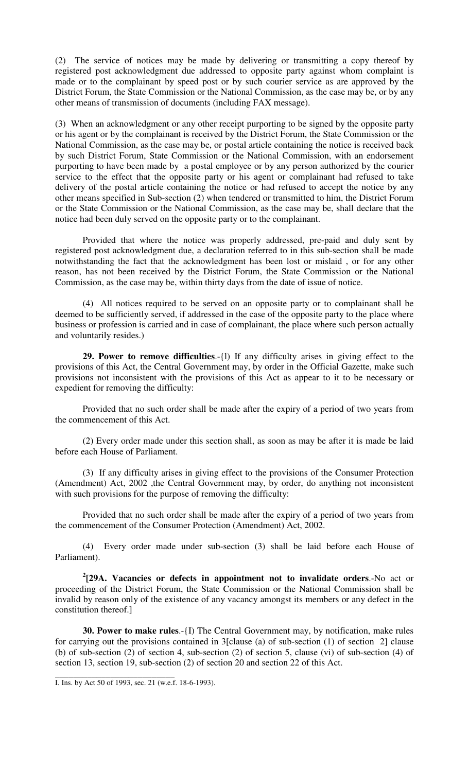(2) The service of notices may be made by delivering or transmitting a copy thereof by registered post acknowledgment due addressed to opposite party against whom complaint is made or to the complainant by speed post or by such courier service as are approved by the District Forum, the State Commission or the National Commission, as the case may be, or by any other means of transmission of documents (including FAX message).

(3) When an acknowledgment or any other receipt purporting to be signed by the opposite party or his agent or by the complainant is received by the District Forum, the State Commission or the National Commission, as the case may be, or postal article containing the notice is received back by such District Forum, State Commission or the National Commission, with an endorsement purporting to have been made by a postal employee or by any person authorized by the courier service to the effect that the opposite party or his agent or complainant had refused to take delivery of the postal article containing the notice or had refused to accept the notice by any other means specified in Sub-section (2) when tendered or transmitted to him, the District Forum or the State Commission or the National Commission, as the case may be, shall declare that the notice had been duly served on the opposite party or to the complainant.

 Provided that where the notice was properly addressed, pre-paid and duly sent by registered post acknowledgment due, a declaration referred to in this sub-section shall be made notwithstanding the fact that the acknowledgment has been lost or mislaid , or for any other reason, has not been received by the District Forum, the State Commission or the National Commission, as the case may be, within thirty days from the date of issue of notice.

 (4) All notices required to be served on an opposite party or to complainant shall be deemed to be sufficiently served, if addressed in the case of the opposite party to the place where business or profession is carried and in case of complainant, the place where such person actually and voluntarily resides.)

**29. Power to remove difficulties**.-{l) If any difficulty arises in giving effect to the provisions of this Act, the Central Government may, by order in the Official Gazette, make such provisions not inconsistent with the provisions of this Act as appear to it to be necessary or expedient for removing the difficulty:

Provided that no such order shall be made after the expiry of a period of two years from the commencement of this Act.

(2) Every order made under this section shall, as soon as may be after it is made be laid before each House of Parliament.

 (3) If any difficulty arises in giving effect to the provisions of the Consumer Protection (Amendment) Act, 2002 ,the Central Government may, by order, do anything not inconsistent with such provisions for the purpose of removing the difficulty:

 Provided that no such order shall be made after the expiry of a period of two years from the commencement of the Consumer Protection (Amendment) Act, 2002.

 (4) Every order made under sub-section (3) shall be laid before each House of Parliament).

**2 [29A. Vacancies or defects in appointment not to invalidate orders**.-No act or proceeding of the District Forum, the State Commission or the National Commission shall be invalid by reason only of the existence of any vacancy amongst its members or any defect in the constitution thereof.]

**30. Power to make rules**.-{I) The Central Government may, by notification, make rules for carrying out the provisions contained in 3[clause (a) of sub-section (1) of section 2] clause (b) of sub-section (2) of section 4, sub-section (2) of section 5, clause (vi) of sub-section (4) of section 13, section 19, sub-section (2) of section 20 and section 22 of this Act.

\_\_\_\_\_\_\_\_\_\_\_\_\_\_\_\_\_\_\_\_\_\_\_\_\_\_

I. Ins. by Act 50 of 1993, sec. 21 (w.e.f. 18-6-1993).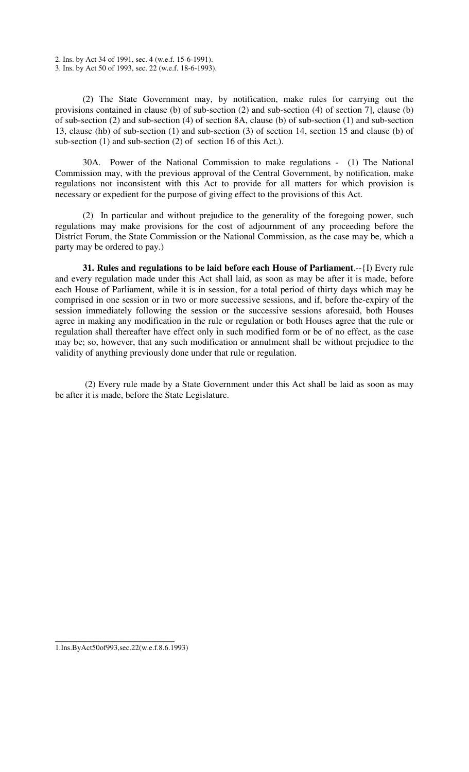2. Ins. by Act 34 of 1991, sec. 4 (w.e.f. 15-6-1991). 3. Ins. by Act 50 of 1993, sec. 22 (w.e.f. 18-6-1993).

(2) The State Government may, by notification, make rules for carrying out the provisions contained in clause (b) of sub-section (2) and sub-section (4) of section 7], clause (b) of sub-section (2) and sub-section (4) of section 8A, clause (b) of sub-section (1) and sub-section 13, clause (hb) of sub-section (1) and sub-section (3) of section 14, section 15 and clause (b) of sub-section (1) and sub-section (2) of section 16 of this Act.).

 30A. Power of the National Commission to make regulations - (1) The National Commission may, with the previous approval of the Central Government, by notification, make regulations not inconsistent with this Act to provide for all matters for which provision is necessary or expedient for the purpose of giving effect to the provisions of this Act.

 (2) In particular and without prejudice to the generality of the foregoing power, such regulations may make provisions for the cost of adjournment of any proceeding before the District Forum, the State Commission or the National Commission, as the case may be, which a party may be ordered to pay.)

**31. Rules and regulations to be laid before each House of Parliament**.--{I) Every rule and every regulation made under this Act shall laid, as soon as may be after it is made, before each House of Parliament, while it is in session, for a total period of thirty days which may be comprised in one session or in two or more successive sessions, and if, before the-expiry of the session immediately following the session or the successive sessions aforesaid, both Houses agree in making any modification in the rule or regulation or both Houses agree that the rule or regulation shall thereafter have effect only in such modified form or be of no effect, as the case may be; so, however, that any such modification or annulment shall be without prejudice to the validity of anything previously done under that rule or regulation.

 (2) Every rule made by a State Government under this Act shall be laid as soon as may be after it is made, before the State Legislature.

\_\_\_\_\_\_\_\_\_\_\_\_\_\_\_\_\_\_\_\_\_\_\_\_\_\_ 1.Ins.ByAct50of993,sec.22(w.e.f.8.6.1993)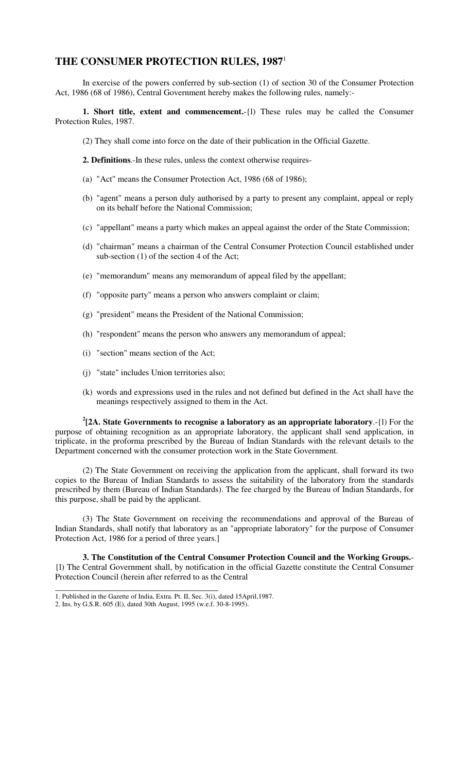## **THE CONSUMER PROTECTION RULES, 1987**<sup>1</sup>

In exercise of the powers conferred by sub-section (1) of section 30 of the Consumer Protection Act, 1986 (68 of 1986), Central Government hereby makes the following rules, namely:-

**1. Short title, extent and commencement.**-{l) These rules may be called the Consumer Protection Rules, 1987.

(2) They shall come into force on the date of their publication in the Official Gazette.

**2. Definitions**.-In these rules, unless the context otherwise requires-

- (a) "Act" means the Consumer Protection Act, 1986 (68 of 1986);
- (b) "agent" means a person duly authorised by a party to present any complaint, appeal or reply on its behalf before the National Commission;
- (c) "appellant" means a party which makes an appeal against the order of the State Commission;
- (d) "chairman" means a chairman of the Central Consumer Protection Council established under sub-section (1) of the section 4 of the Act;
- (e) "memorandum" means any memorandum of appeal filed by the appellant;
- (f) "opposite party" means a person who answers complaint or claim;
- (g) "president" means the President of the National Commission;
- (h) "respondent" means the person who answers any memorandum of appeal;
- (i) "section" means section of the Act;
- (j) "state" includes Union territories also;
- (k) words and expressions used in the rules and not defined but defined in the Act shall have the meanings respectively assigned to them in the Act.

**2 [2A. State Governments to recognise a laboratory as an appropriate laboratory**.-{l) For the purpose of obtaining recognition as an appropriate laboratory, the applicant shall send application, in triplicate, in the proforma prescribed by the Bureau of Indian Standards with the relevant details to the Department concerned with the consumer protection work in the State Government.

(2) The State Government on receiving the application from the applicant, shall forward its two copies to the Bureau of Indian Standards to assess the suitability of the laboratory from the standards prescribed by them (Bureau of Indian Standards). The fee charged by the Bureau of Indian Standards, for this purpose, shall be paid by the applicant.

(3) The State Government on receiving the recommendations and approval of the Bureau of Indian Standards, shall notify that laboratory as an "appropriate laboratory" for the purpose of Consumer Protection Act, 1986 for a period of three years.]

**3. The Constitution of the Central Consumer Protection Council and the Working Groups.**- {l) The Central Government shall, by notification in the official Gazette constitute the Central Consumer Protection Council (herein after referred to as the Central

\_\_\_\_\_\_\_\_\_\_\_\_\_\_\_\_\_\_\_\_\_\_\_\_\_\_\_\_\_\_\_\_\_\_\_\_

<sup>1.</sup> Published in the Gazette of India, Extra. Pt. II, Sec. 3(i), dated 15April,1987.

<sup>2.</sup> Ins. by G.S.R. 605 (E), dated 30th August, 1995 (w.e.f. 30-8-1995).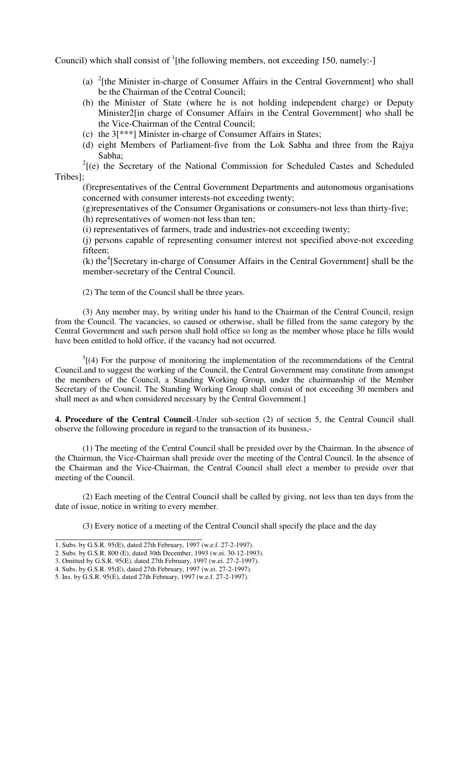Council) which shall consist of  $<sup>1</sup>$ [the following members, not exceeding 150, namely:-]</sup>

- (a)  $2$ [the Minister in-charge of Consumer Affairs in the Central Government] who shall be the Chairman of the Central Council;
- (b) the Minister of State (where he is not holding independent charge) or Deputy Minister2[in charge of Consumer Affairs in the Central Government] who shall be the Vice-Chairman of the Central Council;
- (c) the 3[\*\*\*] Minister in-charge of Consumer Affairs in States;
- (d) eight Members of Parliament-five from the Lok Sabha and three from the Rajya Sabha;

 $2$ [(e) the Secretary of the National Commission for Scheduled Castes and Scheduled Tribes];

(f)representatives of the Central Government Departments and autonomous organisations concerned with consumer interests-not exceeding twenty;

(g)representatives of the Consumer Organisations or consumers-not less than thirty-five;

(h) representatives of women-not less than ten;

(i) representatives of farmers, trade and industries-not exceeding twenty;

(j) persons capable of representing consumer interest not specified above-not exceeding fifteen;

 $(k)$  the<sup>4</sup>[Secretary in-charge of Consumer Affairs in the Central Government] shall be the member-secretary of the Central Council.

(2) The term of the Council shall be three years.

(3) Any member may, by writing under his hand to the Chairman of the Central Council, resign from the Council. The vacancies, so caused or otherwise, shall be filled from the same category by the Central Government and such person shall hold office so long as the member whose place he fills would have been entitled to hold office, if the vacancy had not occurred.

 $<sup>5</sup>$ [(4) For the purpose of monitoring the implementation of the recommendations of the Central</sup> Council.and to suggest the working of the Council, the Central Government may constitute from amongst the members of the Council, a Standing Working Group, under the chairmanship of the Member Secretary of the Council. The Standing Working Group shall consist of not exceeding 30 members and shall meet as and when considered necessary by the Central Government.]

**4. Procedure of the Central Council**.-Under sub-section (2) of section 5, the Central Council shall observe the following procedure in regard to the transaction of its business,-

(1) The meeting of the Central Council shall be presided over by the Chairman. In the absence of the Chairman, the Vice-Chairman shall preside over the meeting of the Central Council. In the absence of the Chairman and the Vice-Chairman, the Central Council shall elect a member to preside over that meeting of the Council.

(2) Each meeting of the Central Council shall be called by giving, not less than ten days from the date of issue, notice in writing to every member.

(3) Every notice of a meeting of the Central Council shall specify the place and the day

\_\_\_\_\_\_\_\_\_\_\_\_\_\_\_\_\_\_\_\_\_\_\_\_\_\_\_\_\_\_\_\_

<sup>1.</sup> Subs. by G.S.R. 95(E), dated 27th February, 1997 (w.e.f. 27-2-1997).

<sup>2.</sup> Subs. by G.S.R. 800 (E), dated 30th December, 1993 (w.ei. 30-12-1993).

<sup>3.</sup> Omitted by G.S.R. 95(E), dated 27th February, 1997 (w.ei. 27-2-1997).

<sup>4.</sup> Subs. by G.S.R. 95(E), dated 27th February, 1997 (w.ei. 27-2-1997).

<sup>5.</sup> Ins. by G.S.R. 95(E), dated 27th February, 1997 (w.e.f. 27-2-1997).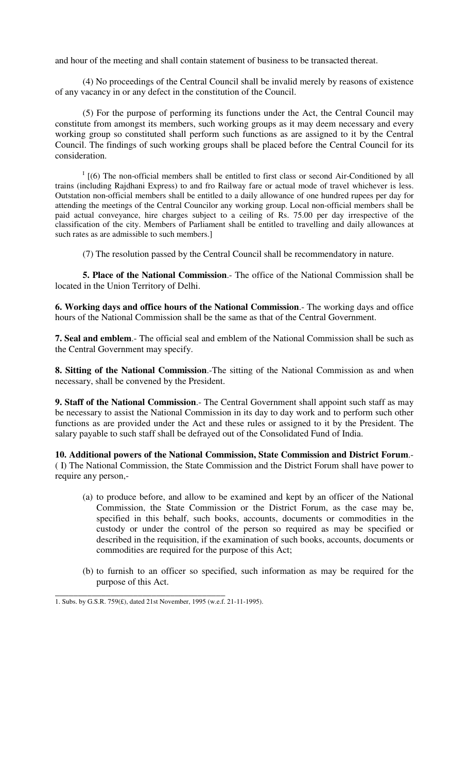and hour of the meeting and shall contain statement of business to be transacted thereat.

(4) No proceedings of the Central Council shall be invalid merely by reasons of existence of any vacancy in or any defect in the constitution of the Council.

(5) For the purpose of performing its functions under the Act, the Central Council may constitute from amongst its members, such working groups as it may deem necessary and every working group so constituted shall perform such functions as are assigned to it by the Central Council. The findings of such working groups shall be placed before the Central Council for its consideration.

 $I$  [(6) The non-official members shall be entitled to first class or second Air-Conditioned by all trains (including Rajdhani Express) to and fro Railway fare or actual mode of travel whichever is less. Outstation non-official members shall be entitled to a daily allowance of one hundred rupees per day for attending the meetings of the Central Councilor any working group. Local non-official members shall be paid actual conveyance, hire charges subject to a ceiling of Rs. 75.00 per day irrespective of the classification of the city. Members of Parliament shall be entitled to travelling and daily allowances at such rates as are admissible to such members.]

(7) The resolution passed by the Central Council shall be recommendatory in nature.

**5. Place of the National Commission**.- The office of the National Commission shall be located in the Union Territory of Delhi.

**6. Working days and office hours of the National Commission**.- The working days and office hours of the National Commission shall be the same as that of the Central Government.

**7. Seal and emblem**.- The official seal and emblem of the National Commission shall be such as the Central Government may specify.

**8. Sitting of the National Commission**.-The sitting of the National Commission as and when necessary, shall be convened by the President.

**9. Staff of the National Commission.**- The Central Government shall appoint such staff as may be necessary to assist the National Commission in its day to day work and to perform such other functions as are provided under the Act and these rules or assigned to it by the President. The salary payable to such staff shall be defrayed out of the Consolidated Fund of India.

**10. Additional powers of the National Commission, State Commission and District Forum**.- ( I) The National Commission, the State Commission and the District Forum shall have power to require any person,-

- (a) to produce before, and allow to be examined and kept by an officer of the National Commission, the State Commission or the District Forum, as the case may be, specified in this behalf, such books, accounts, documents or commodities in the custody or under the control of the person so required as may be specified or described in the requisition, if the examination of such books, accounts, documents or commodities are required for the purpose of this Act;
- (b) to furnish to an officer so specified, such information as may be required for the purpose of this Act.

\_\_\_\_\_\_\_\_\_\_\_\_\_\_\_\_\_\_\_\_\_\_\_\_\_\_\_\_\_\_\_\_\_\_\_\_\_ 1. Subs. by G.S.R. 759(£), dated 21st November, 1995 (w.e.f. 21-11-1995).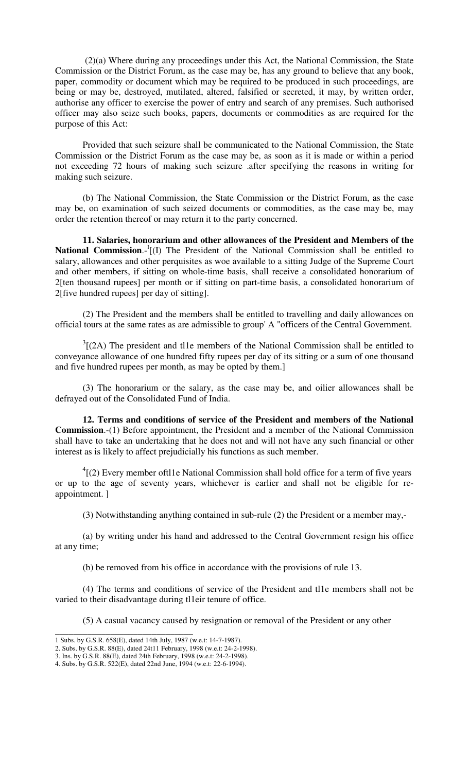(2)(a) Where during any proceedings under this Act, the National Commission, the State Commission or the District Forum, as the case may be, has any ground to believe that any book, paper, commodity or document which may be required to be produced in such proceedings, are being or may be, destroyed, mutilated, altered, falsified or secreted, it may, by written order, authorise any officer to exercise the power of entry and search of any premises. Such authorised officer may also seize such books, papers, documents or commodities as are required for the purpose of this Act:

Provided that such seizure shall be communicated to the National Commission, the State Commission or the District Forum as the case may be, as soon as it is made or within a period not exceeding 72 hours of making such seizure .after specifying the reasons in writing for making such seizure.

(b) The National Commission, the State Commission or the District Forum, as the case may be, on examination of such seized documents or commodities, as the case may be, may order the retention thereof or may return it to the party concerned.

**11. Salaries, honorarium and other allowances of the President and Members of the**  National Commission.<sup>I</sup>[(I) The President of the National Commission shall be entitled to salary, allowances and other perquisites as woe available to a sitting Judge of the Supreme Court and other members, if sitting on whole-time basis, shall receive a consolidated honorarium of 2[ten thousand rupees] per month or if sitting on part-time basis, a consolidated honorarium of 2[five hundred rupees] per day of sitting].

(2) The President and the members shall be entitled to travelling and daily allowances on official tours at the same rates as are admissible to group' A "officers of the Central Government.

 $3$ [(2A) The president and tl1e members of the National Commission shall be entitled to conveyance allowance of one hundred fifty rupees per day of its sitting or a sum of one thousand and five hundred rupees per month, as may be opted by them.]

(3) The honorarium or the salary, as the case may be, and oilier allowances shall be defrayed out of the Consolidated Fund of India.

**12. Terms and conditions of service of the President and members of the National Commission**.-(1) Before appointment, the President and a member of the National Commission shall have to take an undertaking that he does not and will not have any such financial or other interest as is likely to affect prejudicially his functions as such member.

 ${}^{4}$ [(2) Every member oftl1e National Commission shall hold office for a term of five years or up to the age of seventy years, whichever is earlier and shall not be eligible for reappointment. ]

(3) Notwithstanding anything contained in sub-rule (2) the President or a member may,-

(a) by writing under his hand and addressed to the Central Government resign his office at any time;

(b) be removed from his office in accordance with the provisions of rule 13.

(4) The terms and conditions of service of the President and tl1e members shall not be varied to their disadvantage during tl1eir tenure of office.

(5) A casual vacancy caused by resignation or removal of the President or any other

\_\_\_\_\_\_\_\_\_\_\_\_\_\_\_\_\_\_\_\_\_\_\_\_\_\_\_\_\_\_

<sup>1</sup> Subs. by G.S.R. 658(E), dated 14th July, 1987 (w.e.t: 14-7-1987).

<sup>2.</sup> Subs. by G.S.R. 88(E), dated 24t11 February, 1998 (w.e.t: 24-2-1998).

<sup>3.</sup> Ins. by G.S.R. 88(E), dated 24th February, 1998 (w.e.t: 24-2-1998).

<sup>4.</sup> Subs. by G.S.R. 522(E), dated 22nd June, 1994 (w.e.t: 22-6-1994).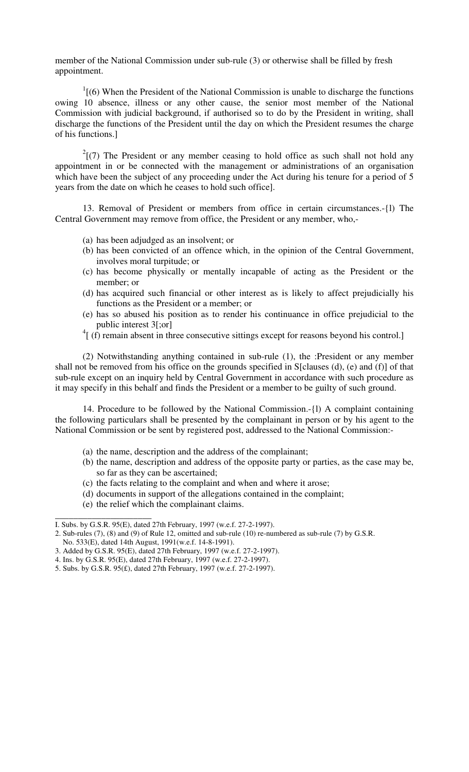member of the National Commission under sub-rule (3) or otherwise shall be filled by fresh appointment.

 $<sup>1</sup>$ [(6) When the President of the National Commission is unable to discharge the functions</sup> owing 10 absence, illness or any other cause, the senior most member of the National Commission with judicial background, if authorised so to do by the President in writing, shall discharge the functions of the President until the day on which the President resumes the charge of his functions.]

 $2(7)$  The President or any member ceasing to hold office as such shall not hold any appointment in or be connected with the management or administrations of an organisation which have been the subject of any proceeding under the Act during his tenure for a period of 5 years from the date on which he ceases to hold such office].

13. Removal of President or members from office in certain circumstances.-{l) The Central Government may remove from office, the President or any member, who,-

- (a) has been adjudged as an insolvent; or
- (b) has been convicted of an offence which, in the opinion of the Central Government, involves moral turpitude; or
- (c) has become physically or mentally incapable of acting as the President or the member; or
- (d) has acquired such financial or other interest as is likely to affect prejudicially his functions as the President or a member; or
- (e) has so abused his position as to render his continuance in office prejudicial to the public interest 3[;or]
- ${}^{4}$ [ (f) remain absent in three consecutive sittings except for reasons beyond his control.]

(2) Notwithstanding anything contained in sub-rule (1), the :President or any member shall not be removed from his office on the grounds specified in S[clauses (d), (e) and (f)] of that sub-rule except on an inquiry held by Central Government in accordance with such procedure as it may specify in this behalf and finds the President or a member to be guilty of such ground.

14. Procedure to be followed by the National Commission.-{l) A complaint containing the following particulars shall be presented by the complainant in person or by his agent to the National Commission or be sent by registered post, addressed to the National Commission:-

- (a) the name, description and the address of the complainant;
- (b) the name, description and address of the opposite party or parties, as the case may be, so far as they can be ascertained;
- (c) the facts relating to the complaint and when and where it arose;
- (d) documents in support of the allegations contained in the complaint;
- (e) the relief which the complainant claims.

\_\_\_\_\_\_\_\_\_\_\_\_\_\_\_\_\_\_\_\_\_

I. Subs. by G.S.R. 95(E), dated 27th February, 1997 (w.e.f. 27-2-1997).

<sup>2.</sup> Sub-rules (7), (8) and (9) of Rule 12, omitted and sub-rule (10) re-numbered as sub-rule (7) by G.S.R. No. 533(E), dated 14th August, 1991(w.e.f. 14-8-1991).

<sup>3.</sup> Added by G.S.R. 95(E), dated 27th February, 1997 (w.e.f. 27-2-1997).

<sup>4.</sup> Ins. by G.S.R. 95(E), dated 27th February, 1997 (w.e.f. 27-2-1997).

<sup>5.</sup> Subs. by G.S.R. 95(£), dated 27th February, 1997 (w.e.f. 27-2-1997).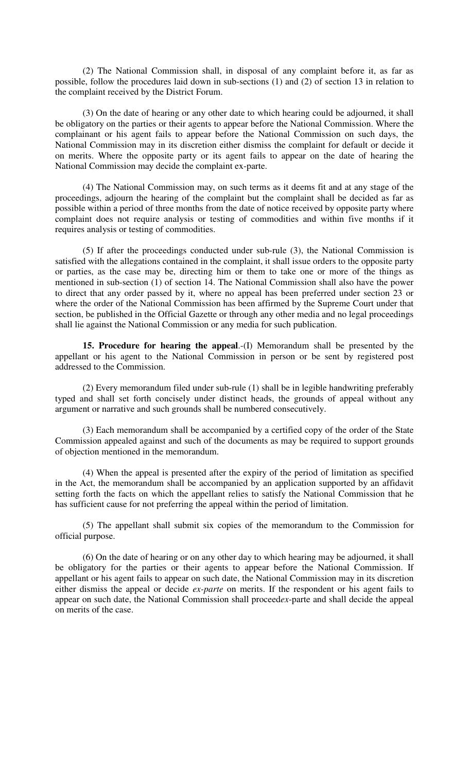(2) The National Commission shall, in disposal of any complaint before it, as far as possible, follow the procedures laid down in sub-sections (1) and (2) of section 13 in relation to the complaint received by the District Forum.

(3) On the date of hearing or any other date to which hearing could be adjourned, it shall be obligatory on the parties or their agents to appear before the National Commission. Where the complainant or his agent fails to appear before the National Commission on such days, the National Commission may in its discretion either dismiss the complaint for default or decide it on merits. Where the opposite party or its agent fails to appear on the date of hearing the National Commission may decide the complaint ex-parte.

(4) The National Commission may, on such terms as it deems fit and at any stage of the proceedings, adjourn the hearing of the complaint but the complaint shall be decided as far as possible within a period of three months from the date of notice received by opposite party where complaint does not require analysis or testing of commodities and within five months if it requires analysis or testing of commodities.

(5) If after the proceedings conducted under sub-rule (3), the National Commission is satisfied with the allegations contained in the complaint, it shall issue orders to the opposite party or parties, as the case may be, directing him or them to take one or more of the things as mentioned in sub-section (1) of section 14. The National Commission shall also have the power to direct that any order passed by it, where no appeal has been preferred under section 23 or where the order of the National Commission has been affirmed by the Supreme Court under that section, be published in the Official Gazette or through any other media and no legal proceedings shall lie against the National Commission or any media for such publication.

**15. Procedure for hearing the appeal**.-(I) Memorandum shall be presented by the appellant or his agent to the National Commission in person or be sent by registered post addressed to the Commission.

(2) Every memorandum filed under sub-rule (1) shall be in legible handwriting preferably typed and shall set forth concisely under distinct heads, the grounds of appeal without any argument or narrative and such grounds shall be numbered consecutively.

(3) Each memorandum shall be accompanied by a certified copy of the order of the State Commission appealed against and such of the documents as may be required to support grounds of objection mentioned in the memorandum.

(4) When the appeal is presented after the expiry of the period of limitation as specified in the Act, the memorandum shall be accompanied by an application supported by an affidavit setting forth the facts on which the appellant relies to satisfy the National Commission that he has sufficient cause for not preferring the appeal within the period of limitation.

(5) The appellant shall submit six copies of the memorandum to the Commission for official purpose.

(6) On the date of hearing or on any other day to which hearing may be adjourned, it shall be obligatory for the parties or their agents to appear before the National Commission. If appellant or his agent fails to appear on such date, the National Commission may in its discretion either dismiss the appeal or decide *ex-parte* on merits. If the respondent or his agent fails to appear on such date, the National Commission shall proceed*ex*-parte and shall decide the appeal on merits of the case.